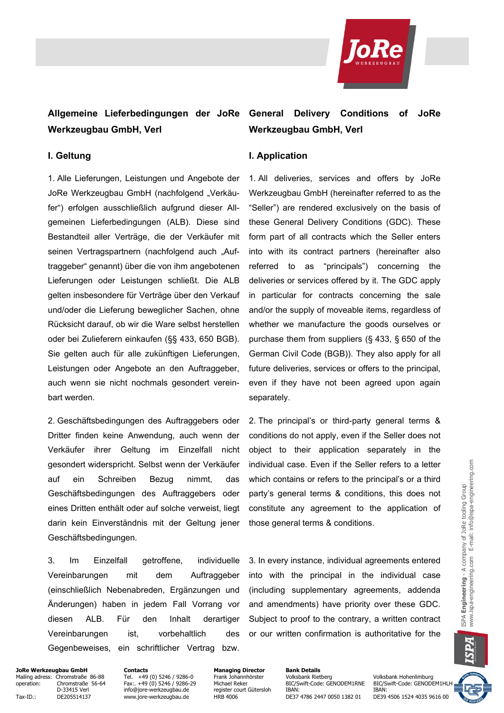

# **Allgemeine Lieferbedingungen der JoRe General Delivery Conditions of JoRe Werkzeugbau GmbH, Verl**

1. Alle Lieferungen, Leistungen und Angebote der JoRe Werkzeugbau GmbH (nachfolgend "Verkäufer") erfolgen ausschließlich aufgrund dieser Allgemeinen Lieferbedingungen (ALB). Diese sind Bestandteil aller Verträge, die der Verkäufer mit seinen Vertragspartnern (nachfolgend auch "Auftraggeber" genannt) über die von ihm angebotenen Lieferungen oder Leistungen schließt. Die ALB gelten insbesondere für Verträge über den Verkauf und/oder die Lieferung beweglicher Sachen, ohne Rücksicht darauf, ob wir die Ware selbst herstellen oder bei Zulieferern einkaufen (§§ 433, 650 BGB). Sie gelten auch für alle zukünftigen Lieferungen, Leistungen oder Angebote an den Auftraggeber, auch wenn sie nicht nochmals gesondert vereinbart werden.

2. Geschäftsbedingungen des Auftraggebers oder Dritter finden keine Anwendung, auch wenn der Verkäufer ihrer Geltung im Einzelfall nicht gesondert widerspricht. Selbst wenn der Verkäufer auf ein Schreiben Bezug nimmt, das Geschäftsbedingungen des Auftraggebers oder eines Dritten enthält oder auf solche verweist, liegt darin kein Einverständnis mit der Geltung jener Geschäftsbedingungen.

3. Im Einzelfall getroffene, individuelle Vereinbarungen mit dem Auftraggeber (einschließlich Nebenabreden, Ergänzungen und Änderungen) haben in jedem Fall Vorrang vor diesen ALB. Für den Inhalt derartiger Vereinbarungen ist, vorbehaltlich des Gegenbeweises, ein schriftlicher Vertrag bzw.

# **Werkzeugbau GmbH, Verl**

### **I. Geltung I. Application**

1. All deliveries, services and offers by JoRe Werkzeugbau GmbH (hereinafter referred to as the "Seller") are rendered exclusively on the basis of these General Delivery Conditions (GDC). These form part of all contracts which the Seller enters into with its contract partners (hereinafter also referred to as "principals") concerning the deliveries or services offered by it. The GDC apply in particular for contracts concerning the sale and/or the supply of moveable items, regardless of whether we manufacture the goods ourselves or purchase them from suppliers (§ 433, § 650 of the German Civil Code (BGB)). They also apply for all future deliveries, services or offers to the principal, even if they have not been agreed upon again separately.

2. The principal's or third-party general terms & conditions do not apply, even if the Seller does not object to their application separately in the individual case. Even if the Seller refers to a letter which contains or refers to the principal's or a third party's general terms & conditions, this does not constitute any agreement to the application of those general terms & conditions.

3. In every instance, individual agreements entered into with the principal in the individual case (including supplementary agreements, addenda and amendments) have priority over these GDC. Subject to proof to the contrary, a written contract or our written confirmation is authoritative for the

### **JoRe Werkzeugbau GmbH Contacts Contacts Managing Director Bank Details**<br>Mailing adress: Chromstraße 86-88 Tel. +49 (0) 5246 / 9286-0 Frank Johannhörster Volksbank Rietberg Mailing adress: Chromstraße 86-88 Tel. +49 (0) 5246 / 9286-0 Frank Johannhörster Volksbank Rietberg Volksbank Hohenlimburg<br>1997 operation: Chromstraße 56-64 Fax:. +49 (0) 5246 / 9286-29 Michael Reker BIC/Swift-Code: GENODE

Tax-ID.: DE205514137 www.jore-werkzeugbau.de HRB 4006 DE37 4786 2447 0050 1382 01

Ohromstraße 56-64 Fax:. +49 (0) 5246 / 9286-29 Michael Reker BIC/Swift-Code: GENODEM1RNE BIC/Swift-Code: GENODEM1HL<br>D-33415 Verl Frace info@iore-werkzeugbau.de register court Gütersloh IBAN: IBAN: IBAN: IBAN:

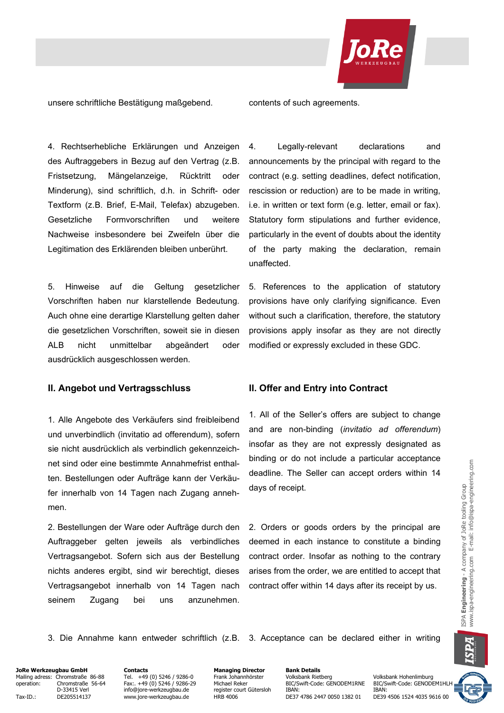

unsere schriftliche Bestätigung maßgebend. contents of such agreements.

4. Rechtserhebliche Erklärungen und Anzeigen des Auftraggebers in Bezug auf den Vertrag (z.B. Fristsetzung, Mängelanzeige, Rücktritt oder Minderung), sind schriftlich, d.h. in Schrift- oder Textform (z.B. Brief, E-Mail, Telefax) abzugeben. Gesetzliche Formvorschriften und weitere Nachweise insbesondere bei Zweifeln über die Legitimation des Erklärenden bleiben unberührt.

5. Hinweise auf die Geltung gesetzlicher Vorschriften haben nur klarstellende Bedeutung. Auch ohne eine derartige Klarstellung gelten daher die gesetzlichen Vorschriften, soweit sie in diesen ALB nicht unmittelbar abgeändert oder ausdrücklich ausgeschlossen werden.

### **II. Angebot und Vertragsschluss II. Offer and Entry into Contract**

1. Alle Angebote des Verkäufers sind freibleibend und unverbindlich (invitatio ad offerendum), sofern sie nicht ausdrücklich als verbindlich gekennzeichnet sind oder eine bestimmte Annahmefrist enthalten. Bestellungen oder Aufträge kann der Verkäufer innerhalb von 14 Tagen nach Zugang annehmen.

2. Bestellungen der Ware oder Aufträge durch den Auftraggeber gelten jeweils als verbindliches Vertragsangebot. Sofern sich aus der Bestellung nichts anderes ergibt, sind wir berechtigt, dieses Vertragsangebot innerhalb von 14 Tagen nach seinem Zugang bei uns anzunehmen.

4. Legally-relevant declarations and announcements by the principal with regard to the contract (e.g. setting deadlines, defect notification, rescission or reduction) are to be made in writing, i.e. in written or text form (e.g. letter, email or fax). Statutory form stipulations and further evidence, particularly in the event of doubts about the identity of the party making the declaration, remain unaffected.

5. References to the application of statutory provisions have only clarifying significance. Even without such a clarification, therefore, the statutory provisions apply insofar as they are not directly modified or expressly excluded in these GDC.

1. All of the Seller's offers are subject to change and are non-binding (*invitatio ad offerendum*) insofar as they are not expressly designated as binding or do not include a particular acceptance deadline. The Seller can accept orders within 14 days of receipt.

2. Orders or goods orders by the principal are deemed in each instance to constitute a binding contract order. Insofar as nothing to the contrary arises from the order, we are entitled to accept that contract offer within 14 days after its receipt by us.

3. Die Annahme kann entweder schriftlich (z.B. 3. Acceptance can be declared either in writing

# **JoRe Werkzeugbau GmbH Contacts Contacts Managing Director Bank Details**<br>Mailing adress: Chromstraße 86-88 Tel. +49 (0) 5246 / 9286-0 Frank Johannhörster Volksbank Rietberg Mailing adress: Chromstraße 86-88 Tel. +49 (0) 5246 / 9286-0 Frank Johannhörster Volksbank Rietberg Volksbank Hohenlimburg<br>1997 operation: Chromstraße 56-64 Fax:. +49 (0) 5246 / 9286-29 Michael Reker BIC/Swift-Code: GENODE

Tax-ID.: DE205514137 www.jore-werkzeugbau.de HRB 4006 DE37 4786 2447 0050 1382 01

Ohromstraße 56-64 Fax:. +49 (0) 5246 / 9286-29 Michael Reker BIC/Swift-Code: GENODEM1RNE BIC/Swift-Code: GENODEM1HL<br>D-33415 Verl Frace info@iore-werkzeugbau.de register court Gütersloh IBAN: IBAN: IBAN: IBAN: D-33415 Verl info@jore-werkzeugbau.de register court Gütersloh IBAN:<br>DE205514137 www.jore-werkzeugbau.de HRB 4006 DE37 4786 2447 0050 1382 01 DE39 4506 1524 4035 9616 00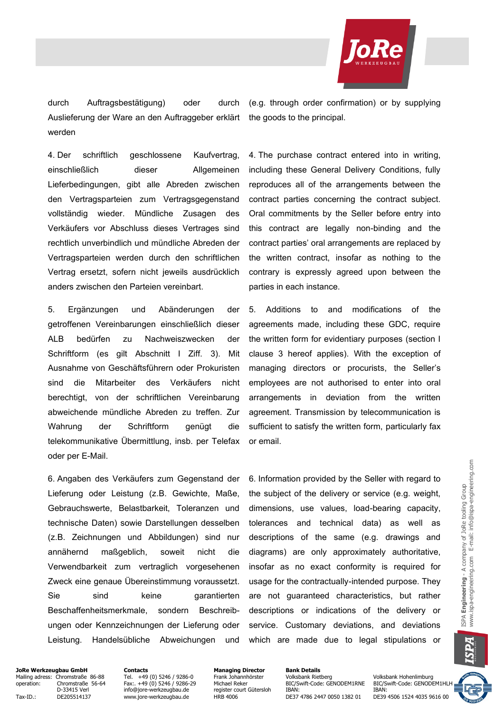

durch Auftragsbestätigung) oder durch Auslieferung der Ware an den Auftraggeber erklärt werden

(e.g. through order confirmation) or by supplying the goods to the principal.

4. Der schriftlich geschlossene Kaufvertrag, einschließlich dieser Allgemeinen Lieferbedingungen, gibt alle Abreden zwischen den Vertragsparteien zum Vertragsgegenstand vollständig wieder. Mündliche Zusagen des Verkäufers vor Abschluss dieses Vertrages sind rechtlich unverbindlich und mündliche Abreden der Vertragsparteien werden durch den schriftlichen Vertrag ersetzt, sofern nicht jeweils ausdrücklich anders zwischen den Parteien vereinbart.

5. Ergänzungen und Abänderungen der getroffenen Vereinbarungen einschließlich dieser ALB bedürfen zu Nachweiszwecken der Schriftform (es gilt Abschnitt I Ziff. 3). Mit Ausnahme von Geschäftsführern oder Prokuristen sind die Mitarbeiter des Verkäufers nicht berechtigt, von der schriftlichen Vereinbarung abweichende mündliche Abreden zu treffen. Zur Wahrung der Schriftform genügt die telekommunikative Übermittlung, insb. per Telefax oder per E-Mail.

6. Angaben des Verkäufers zum Gegenstand der Lieferung oder Leistung (z.B. Gewichte, Maße, Gebrauchswerte, Belastbarkeit, Toleranzen und technische Daten) sowie Darstellungen desselben (z.B. Zeichnungen und Abbildungen) sind nur annähernd maßgeblich, soweit nicht die Verwendbarkeit zum vertraglich vorgesehenen Zweck eine genaue Übereinstimmung voraussetzt. Sie sind keine garantierten Beschaffenheitsmerkmale, sondern Beschreibungen oder Kennzeichnungen der Lieferung oder Leistung. Handelsübliche Abweichungen und 4. The purchase contract entered into in writing, including these General Delivery Conditions, fully reproduces all of the arrangements between the contract parties concerning the contract subject. Oral commitments by the Seller before entry into this contract are legally non-binding and the contract parties' oral arrangements are replaced by the written contract, insofar as nothing to the contrary is expressly agreed upon between the parties in each instance.

5. Additions to and modifications of the agreements made, including these GDC, require the written form for evidentiary purposes (section I clause 3 hereof applies). With the exception of managing directors or procurists, the Seller's employees are not authorised to enter into oral arrangements in deviation from the written agreement. Transmission by telecommunication is sufficient to satisfy the written form, particularly fax or email.

6. Information provided by the Seller with regard to the subject of the delivery or service (e.g. weight, dimensions, use values, load-bearing capacity, tolerances and technical data) as well as descriptions of the same (e.g. drawings and diagrams) are only approximately authoritative, insofar as no exact conformity is required for usage for the contractually-intended purpose. They are not guaranteed characteristics, but rather descriptions or indications of the delivery or service. Customary deviations, and deviations which are made due to legal stipulations or

A

**JoRe Werkzeugbau GmbH Contacts Contacts Managing Director Bank Details**<br>Mailing adress: Chromstraße 86-88 Tel. +49 (0) 5246 / 9286-0 Frank Johannhörster Volksbank Rietberg Mailing adress: Chromstraße 86-88 Tel. +49 (0) 5246 / 9286-0 Frank Johannhörster Tel. +19 (0) 5246 / 9286-0 Frank Johannhörster Volksbank Rietberg Volksbank Hohenlimburg<br>The Frank Johannhörster Volksbank Rietberg Volksbank

Tax-ID.: DE205514137 www.jore-werkzeugbau.de HRB 4006 DE37 4786 2447 0050 1382 01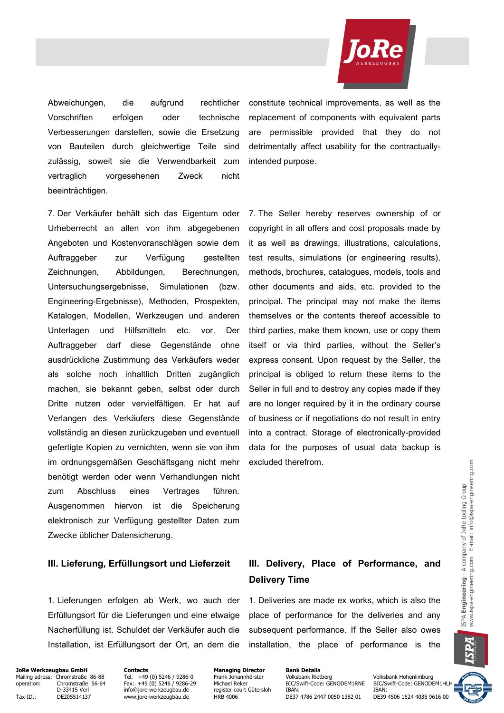

Abweichungen, die aufgrund rechtlicher Vorschriften erfolgen oder technische Verbesserungen darstellen, sowie die Ersetzung von Bauteilen durch gleichwertige Teile sind zulässig, soweit sie die Verwendbarkeit zum vertraglich vorgesehenen Zweck nicht beeinträchtigen.

7. Der Verkäufer behält sich das Eigentum oder Urheberrecht an allen von ihm abgegebenen Angeboten und Kostenvoranschlägen sowie dem Auftraggeber zur Verfügung gestellten Zeichnungen, Abbildungen, Berechnungen, Untersuchungsergebnisse, Simulationen (bzw. Engineering-Ergebnisse), Methoden, Prospekten, Katalogen, Modellen, Werkzeugen und anderen Unterlagen und Hilfsmitteln etc. vor. Der Auftraggeber darf diese Gegenstände ohne ausdrückliche Zustimmung des Verkäufers weder als solche noch inhaltlich Dritten zugänglich machen, sie bekannt geben, selbst oder durch Dritte nutzen oder vervielfältigen. Er hat auf Verlangen des Verkäufers diese Gegenstände vollständig an diesen zurückzugeben und eventuell gefertigte Kopien zu vernichten, wenn sie von ihm im ordnungsgemäßen Geschäftsgang nicht mehr benötigt werden oder wenn Verhandlungen nicht zum Abschluss eines Vertrages führen. Ausgenommen hiervon ist die Speicherung elektronisch zur Verfügung gestellter Daten zum Zwecke üblicher Datensicherung.

#### **III. Lieferung, Erfüllungsort und Lieferzeit III. Delivery, Place of Performance, and**

1. Lieferungen erfolgen ab Werk, wo auch der Erfüllungsort für die Lieferungen und eine etwaige Nacherfüllung ist. Schuldet der Verkäufer auch die Installation, ist Erfüllungsort der Ort, an dem die constitute technical improvements, as well as the replacement of components with equivalent parts are permissible provided that they do not detrimentally affect usability for the contractuallyintended purpose.

7. The Seller hereby reserves ownership of or copyright in all offers and cost proposals made by it as well as drawings, illustrations, calculations, test results, simulations (or engineering results), methods, brochures, catalogues, models, tools and other documents and aids, etc. provided to the principal. The principal may not make the items themselves or the contents thereof accessible to third parties, make them known, use or copy them itself or via third parties, without the Seller's express consent. Upon request by the Seller, the principal is obliged to return these items to the Seller in full and to destroy any copies made if they are no longer required by it in the ordinary course of business or if negotiations do not result in entry into a contract. Storage of electronically-provided data for the purposes of usual data backup is excluded therefrom.

# **Delivery Time**

1. Deliveries are made ex works, which is also the place of performance for the deliveries and any subsequent performance. If the Seller also owes installation, the place of performance is the

**JoRe Werkzeugbau GmbH Contacts Contacts Managing Director Bank Details**<br>Mailing adress: Chromstraße 86-88 Tel. +49 (0) 5246 / 9286-0 Frank Johannhörster Volksbank Rietberg Mailing adress: Chromstraße 86-88 Tel. +49 (0) 5246 / 9286-0 Frank Johannhörster Volksbank Rietberg Volksbank Hohenlimburg<br>1997 operation: Chromstraße 56-64 Fax:. +49 (0) 5246 / 9286-29 Michael Reker BIC/Swift-Code: GENODE Tax-ID.: DE205514137 www.jore-werkzeugbau.de HRB 4006 DE37 4786 2447 0050 1382 01

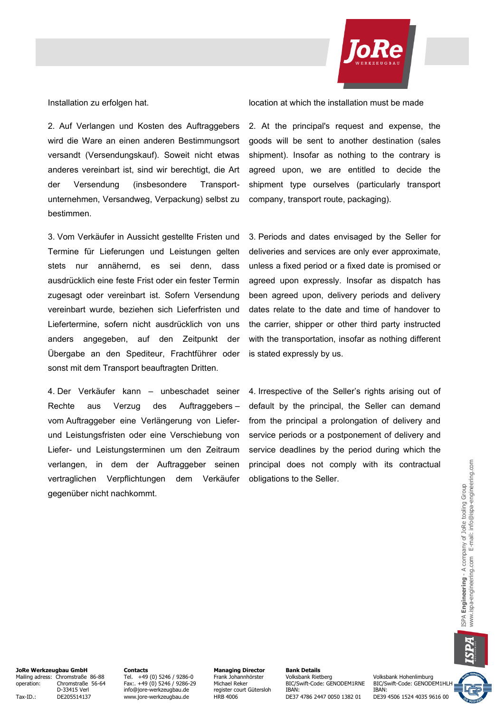

2. Auf Verlangen und Kosten des Auftraggebers wird die Ware an einen anderen Bestimmungsort versandt (Versendungskauf). Soweit nicht etwas anderes vereinbart ist, sind wir berechtigt, die Art der Versendung (insbesondere Transportunternehmen, Versandweg, Verpackung) selbst zu bestimmen.

3. Vom Verkäufer in Aussicht gestellte Fristen und Termine für Lieferungen und Leistungen gelten stets nur annähernd, es sei denn, dass ausdrücklich eine feste Frist oder ein fester Termin zugesagt oder vereinbart ist. Sofern Versendung vereinbart wurde, beziehen sich Lieferfristen und Liefertermine, sofern nicht ausdrücklich von uns anders angegeben, auf den Zeitpunkt der Übergabe an den Spediteur, Frachtführer oder sonst mit dem Transport beauftragten Dritten.

4. Der Verkäufer kann – unbeschadet seiner Rechte aus Verzug des Auftraggebers – vom Auftraggeber eine Verlängerung von Lieferund Leistungsfristen oder eine Verschiebung von Liefer- und Leistungsterminen um den Zeitraum verlangen, in dem der Auftraggeber seinen vertraglichen Verpflichtungen dem Verkäufer gegenüber nicht nachkommt.

Installation zu erfolgen hat. location at which the installation must be made

2. At the principal's request and expense, the goods will be sent to another destination (sales shipment). Insofar as nothing to the contrary is agreed upon, we are entitled to decide the shipment type ourselves (particularly transport company, transport route, packaging).

3. Periods and dates envisaged by the Seller for deliveries and services are only ever approximate, unless a fixed period or a fixed date is promised or agreed upon expressly. Insofar as dispatch has been agreed upon, delivery periods and delivery dates relate to the date and time of handover to the carrier, shipper or other third party instructed with the transportation, insofar as nothing different is stated expressly by us.

4. Irrespective of the Seller's rights arising out of default by the principal, the Seller can demand from the principal a prolongation of delivery and service periods or a postponement of delivery and service deadlines by the period during which the principal does not comply with its contractual obligations to the Seller.

**JoRe Werkzeugbau GmbH Contacts Contacts Managing Director Bank Details**<br>Mailing adress: Chromstraße 86-88 Tel. +49 (0) 5246 / 9286-0 Frank Johannhörster Volksbank Rietberg Mailing adress: Chromstraße 86-88 Tel. +49 (0) 5246 / 9286-0 Frank Johannhörster Volksbank Rietberg Volksbank Hohenlimburg operation: Chromstraße 56-64 Fax:. +49 (0) 5246 / 9286-29 Michael Reker BIC/Swift-Code: GENODEM1RNE BIC/Swift-Code: GENODEM1HL<br>D-33415 Verl info@iore-werkzeugbau.de register court Gütersloh IBAN: IBAN: IBAN:

Tax-ID.: DE205514137 www.jore-werkzeugbau.de HRB 4006 DE37 4786 2447 0050 1382 01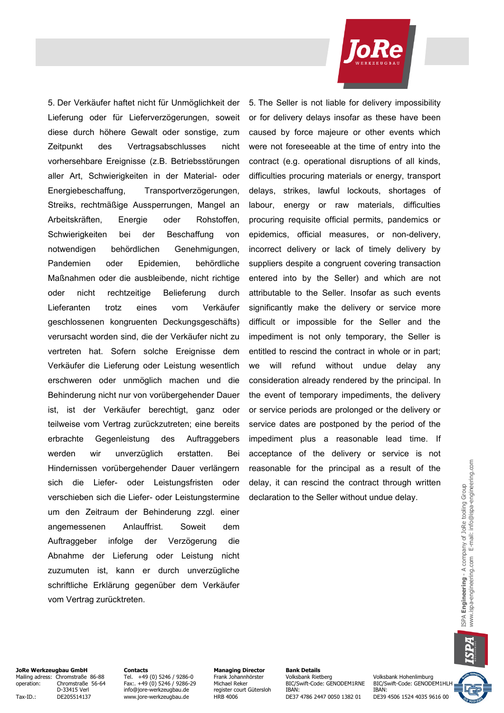5. Der Verkäufer haftet nicht für Unmöglichkeit der Lieferung oder für Lieferverzögerungen, soweit diese durch höhere Gewalt oder sonstige, zum Zeitpunkt des Vertragsabschlusses nicht vorhersehbare Ereignisse (z.B. Betriebsstörungen aller Art, Schwierigkeiten in der Material- oder Energiebeschaffung, Transportverzögerungen, Streiks, rechtmäßige Aussperrungen, Mangel an Arbeitskräften, Energie oder Rohstoffen, Schwierigkeiten bei der Beschaffung von notwendigen behördlichen Genehmigungen, Pandemien oder Epidemien, behördliche Maßnahmen oder die ausbleibende, nicht richtige oder nicht rechtzeitige Belieferung durch Lieferanten trotz eines vom Verkäufer geschlossenen kongruenten Deckungsgeschäfts) verursacht worden sind, die der Verkäufer nicht zu vertreten hat. Sofern solche Ereignisse dem Verkäufer die Lieferung oder Leistung wesentlich erschweren oder unmöglich machen und die Behinderung nicht nur von vorübergehender Dauer ist, ist der Verkäufer berechtigt, ganz oder teilweise vom Vertrag zurückzutreten; eine bereits erbrachte Gegenleistung des Auftraggebers werden wir unverzüglich erstatten. Bei Hindernissen vorübergehender Dauer verlängern sich die Liefer- oder Leistungsfristen oder verschieben sich die Liefer- oder Leistungstermine um den Zeitraum der Behinderung zzgl. einer angemessenen Anlauffrist. Soweit dem Auftraggeber infolge der Verzögerung die Abnahme der Lieferung oder Leistung nicht zuzumuten ist, kann er durch unverzügliche schriftliche Erklärung gegenüber dem Verkäufer vom Vertrag zurücktreten.

5. The Seller is not liable for delivery impossibility or for delivery delays insofar as these have been caused by force majeure or other events which were not foreseeable at the time of entry into the contract (e.g. operational disruptions of all kinds, difficulties procuring materials or energy, transport delays, strikes, lawful lockouts, shortages of labour, energy or raw materials, difficulties procuring requisite official permits, pandemics or epidemics, official measures, or non-delivery, incorrect delivery or lack of timely delivery by suppliers despite a congruent covering transaction entered into by the Seller) and which are not attributable to the Seller. Insofar as such events significantly make the delivery or service more difficult or impossible for the Seller and the impediment is not only temporary, the Seller is entitled to rescind the contract in whole or in part; we will refund without undue delay any consideration already rendered by the principal. In the event of temporary impediments, the delivery or service periods are prolonged or the delivery or service dates are postponed by the period of the impediment plus a reasonable lead time. If acceptance of the delivery or service is not reasonable for the principal as a result of the delay, it can rescind the contract through written declaration to the Seller without undue delay.



**JoRe Werkzeugbau GmbH Contacts Contacts Managing Director Bank Details**<br>Mailing adress: Chromstraße 86-88 Tel. +49 (0) 5246 / 9286-0 Frank Johannhörster Volksbank Rietberg Mailing adress: Chromstraße 86-88 Tel. +49 (0) 5246 / 9286-0 Frank Johannhörster Volksbank Rietberg Volksbank Hohenlimburg<br>1991 operation: Chromstraße 56-64 Fax:. +49 (0) 5246 / 9286-29 Michael Reker BIC/Swift-Code: GENODE

Tax-ID.: DE205514137 www.jore-werkzeugbau.de HRB 4006 DE37 4786 2447 0050 1382 01

Ohromstraße 56-64 Fax:. +49 (0) 5246 / 9286-29 Michael Reker BIC/Swift-Code: GENODEM1RNE BIC/Swift-Code: GENODEM1HL<br>D-33415 Verl Frace info@iore-werkzeugbau.de register court Gütersloh IBAN: IBAN: IBAN: IBAN: D-33415 Verl info@jore-werkzeugbau.de register court Gütersloh IBAN:<br>DE205514137 www.jore-werkzeugbau.de HRB 4006 DE37 4786 2447 0050 1382 01 DE39 4506 1524 4035 9616 00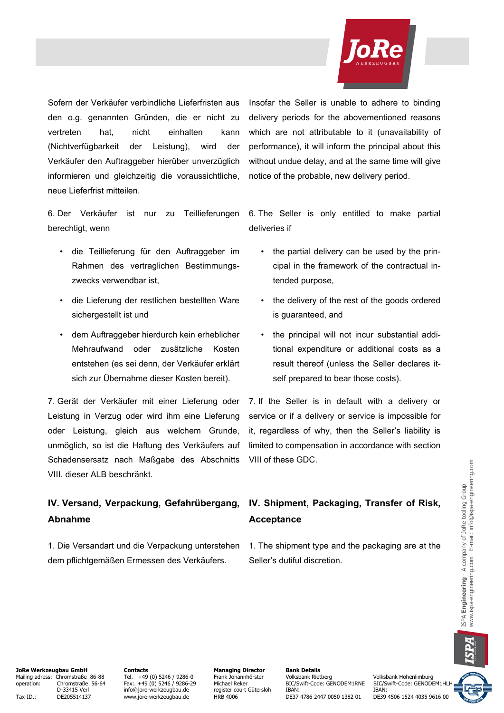

Sofern der Verkäufer verbindliche Lieferfristen aus den o.g. genannten Gründen, die er nicht zu vertreten hat, nicht einhalten kann (Nichtverfügbarkeit der Leistung), wird der Verkäufer den Auftraggeber hierüber unverzüglich informieren und gleichzeitig die voraussichtliche, neue Lieferfrist mitteilen.

6. Der Verkäufer ist nur zu Teillieferungen berechtigt, wenn

- die Teillieferung für den Auftraggeber im Rahmen des vertraglichen Bestimmungszwecks verwendbar ist,
- die Lieferung der restlichen bestellten Ware sichergestellt ist und
- dem Auftraggeber hierdurch kein erheblicher Mehraufwand oder zusätzliche Kosten entstehen (es sei denn, der Verkäufer erklärt sich zur Übernahme dieser Kosten bereit).

7. Gerät der Verkäufer mit einer Lieferung oder Leistung in Verzug oder wird ihm eine Lieferung oder Leistung, gleich aus welchem Grunde, unmöglich, so ist die Haftung des Verkäufers auf Schadensersatz nach Maßgabe des Abschnitts VIII. dieser ALB beschränkt.

## **IV. Versand, Verpackung, Gefahrübergang, Abnahme**

1. Die Versandart und die Verpackung unterstehen dem pflichtgemäßen Ermessen des Verkäufers.

Insofar the Seller is unable to adhere to binding delivery periods for the abovementioned reasons which are not attributable to it (unavailability of performance), it will inform the principal about this without undue delay, and at the same time will give notice of the probable, new delivery period.

6. The Seller is only entitled to make partial deliveries if

- the partial delivery can be used by the principal in the framework of the contractual intended purpose,
- the delivery of the rest of the goods ordered is guaranteed, and
- the principal will not incur substantial additional expenditure or additional costs as a result thereof (unless the Seller declares itself prepared to bear those costs).

7. If the Seller is in default with a delivery or service or if a delivery or service is impossible for it, regardless of why, then the Seller's liability is limited to compensation in accordance with section VIII of these GDC.

# **IV. Shipment, Packaging, Transfer of Risk, Acceptance**

1. The shipment type and the packaging are at the Seller's dutiful discretion.

**JoRe Werkzeugbau GmbH Contacts Contacts Managing Director Bank Details**<br>Mailing adress: Chromstraße 86-88 Tel. +49 (0) 5246 / 9286-0 Frank Johannhörster Volksbank Rietberg Mailing adress: Chromstraße 86-88 Tel. +49 (0) 5246 / 9286-0 Frank Johannhörster Volksbank Rietberg Volksbank Hohenlimburg operation: Chromstraße 56-64 Fax:. +49 (0) 5246 / 9286-29 Michael Reker BIC/Swift-Code: GENODEM1RNE BIC/Swift-Code: GENODEM1HL<br>D-33415 Verl info@iore-werkzeugbau.de register court Gütersloh IBAN: IBAN: IBAN: Tax-ID.: DE205514137 www.jore-werkzeugbau.de HRB 4006 DE37 4786 2447 0050 1382 01

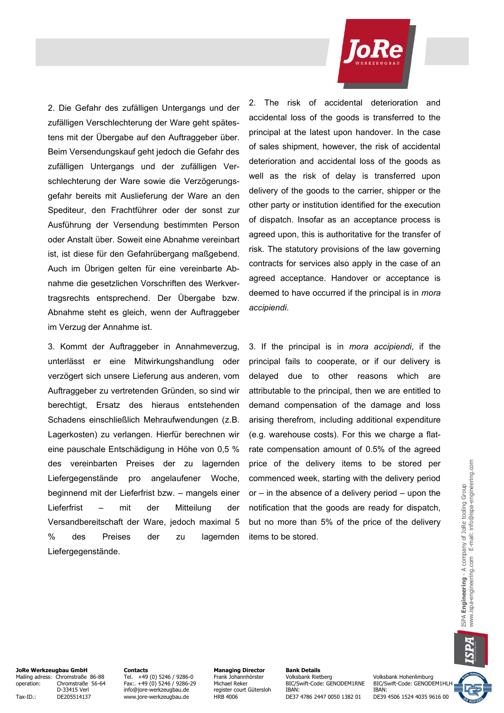

2. Die Gefahr des zufälligen Untergangs und der zufälligen Verschlechterung der Ware geht spätestens mit der Übergabe auf den Auftraggeber über. Beim Versendungskauf geht jedoch die Gefahr des zufälligen Untergangs und der zufälligen Verschlechterung der Ware sowie die Verzögerungsgefahr bereits mit Auslieferung der Ware an den Spediteur, den Frachtführer oder der sonst zur Ausführung der Versendung bestimmten Person oder Anstalt über. Soweit eine Abnahme vereinbart ist, ist diese für den Gefahrübergang maßgebend. Auch im Übrigen gelten für eine vereinbarte Abnahme die gesetzlichen Vorschriften des Werkvertragsrechts entsprechend. Der Übergabe bzw. Abnahme steht es gleich, wenn der Auftraggeber im Verzug der Annahme ist.

3. Kommt der Auftraggeber in Annahmeverzug, unterlässt er eine Mitwirkungshandlung oder verzögert sich unsere Lieferung aus anderen, vom Auftraggeber zu vertretenden Gründen, so sind wir berechtigt, Ersatz des hieraus entstehenden Schadens einschließlich Mehraufwendungen (z.B. Lagerkosten) zu verlangen. Hierfür berechnen wir eine pauschale Entschädigung in Höhe von 0,5 % des vereinbarten Preises der zu lagernden Liefergegenstände pro angelaufener Woche, beginnend mit der Lieferfrist bzw. – mangels einer Lieferfrist – mit der Mitteilung der Versandbereitschaft der Ware, jedoch maximal 5 % des Preises der zu lagernden Liefergegenstände.

2. The risk of accidental deterioration and accidental loss of the goods is transferred to the principal at the latest upon handover. In the case of sales shipment, however, the risk of accidental deterioration and accidental loss of the goods as well as the risk of delay is transferred upon delivery of the goods to the carrier, shipper or the other party or institution identified for the execution of dispatch. Insofar as an acceptance process is agreed upon, this is authoritative for the transfer of risk. The statutory provisions of the law governing contracts for services also apply in the case of an agreed acceptance. Handover or acceptance is deemed to have occurred if the principal is in *mora accipiendi*.

3. If the principal is in *mora accipiendi*, if the principal fails to cooperate, or if our delivery is delayed due to other reasons which are attributable to the principal, then we are entitled to demand compensation of the damage and loss arising therefrom, including additional expenditure (e.g. warehouse costs). For this we charge a flatrate compensation amount of 0.5% of the agreed price of the delivery items to be stored per commenced week, starting with the delivery period or  $-$  in the absence of a delivery period  $-$  upon the notification that the goods are ready for dispatch, but no more than 5% of the price of the delivery items to be stored.

**JoRe Werkzeugbau GmbH Contacts Contacts Managing Director Bank Details**<br>Mailing adress: Chromstraße 86-88 Tel. +49 (0) 5246 / 9286-0 Frank Johannhörster Volksbank Rietberg Mailing adress: Chromstraße 86-88 Tel. +49 (0) 5246 / 9286-0 Frank Johannhörster Volksbank Rietberg Volksbank Hohenlimburg<br>1991 operation: Chromstraße 56-64 Fax:. +49 (0) 5246 / 9286-29 Michael Reker BIC/Swift-Code: GENODE

Tax-ID.: DE205514137 www.jore-werkzeugbau.de HRB 4006 DE37 4786 2447 0050 1382 01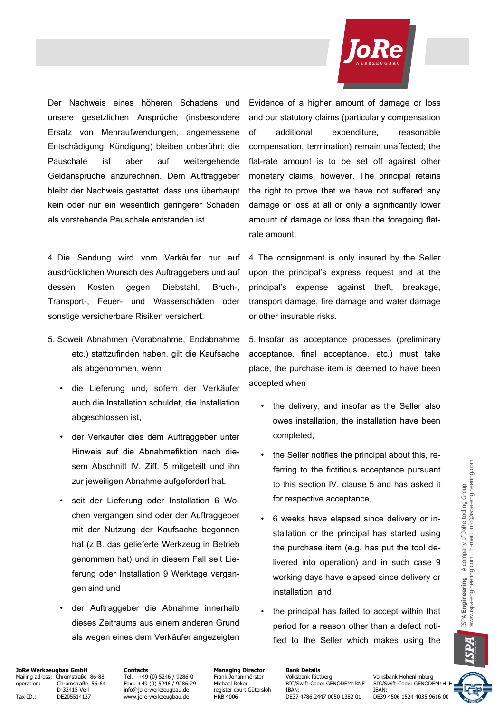

Der Nachweis eines höheren Schadens und unsere gesetzlichen Ansprüche (insbesondere Ersatz von Mehraufwendungen, angemessene Entschädigung, Kündigung) bleiben unberührt; die Pauschale ist aber auf weitergehende Geldansprüche anzurechnen. Dem Auftraggeber bleibt der Nachweis gestattet, dass uns überhaupt kein oder nur ein wesentlich geringerer Schaden als vorstehende Pauschale entstanden ist.

4. Die Sendung wird vom Verkäufer nur auf ausdrücklichen Wunsch des Auftraggebers und auf dessen Kosten gegen Diebstahl, Bruch-, Transport-, Feuer- und Wasserschäden oder sonstige versicherbare Risiken versichert.

- 5. Soweit Abnahmen (Vorabnahme, Endabnahme etc.) stattzufinden haben, gilt die Kaufsache als abgenommen, wenn
	- die Lieferung und, sofern der Verkäufer auch die Installation schuldet, die Installation abgeschlossen ist,
	- der Verkäufer dies dem Auftraggeber unter Hinweis auf die Abnahmefiktion nach diesem Abschnitt IV. Ziff. 5 mitgeteilt und ihn zur jeweiligen Abnahme aufgefordert hat,
	- seit der Lieferung oder Installation 6 Wochen vergangen sind oder der Auftraggeber mit der Nutzung der Kaufsache begonnen hat (z.B. das gelieferte Werkzeug in Betrieb genommen hat) und in diesem Fall seit Lieferung oder Installation 9 Werktage vergangen sind und
	- der Auftraggeber die Abnahme innerhalb dieses Zeitraums aus einem anderen Grund als wegen eines dem Verkäufer angezeigten

Evidence of a higher amount of damage or loss and our statutory claims (particularly compensation of additional expenditure, reasonable compensation, termination) remain unaffected; the flat-rate amount is to be set off against other monetary claims, however. The principal retains the right to prove that we have not suffered any damage or loss at all or only a significantly lower amount of damage or loss than the foregoing flatrate amount.

4. The consignment is only insured by the Seller upon the principal's express request and at the principal's expense against theft, breakage, transport damage, fire damage and water damage or other insurable risks.

5. Insofar as acceptance processes (preliminary acceptance, final acceptance, etc.) must take place, the purchase item is deemed to have been accepted when

- the delivery, and insofar as the Seller also owes installation, the installation have been completed,
- the Seller notifies the principal about this, referring to the fictitious acceptance pursuant to this section IV. clause 5 and has asked it for respective acceptance,
- 6 weeks have elapsed since delivery or installation or the principal has started using the purchase item (e.g. has put the tool delivered into operation) and in such case 9 working days have elapsed since delivery or installation, and
- the principal has failed to accept within that period for a reason other than a defect notified to the Seller which makes using the

**JoRe Werkzeugbau GmbH Contacts Contacts Managing Director Bank Details**<br>Mailing adress: Chromstraße 86-88 Tel. +49 (0) 5246 / 9286-0 Frank Johannhörster Volksbank Rietberg Mailing adress: Chromstraße 86-88 Tel. +49 (0) 5246 / 9286-0 Frank Johannhörster Volksbank Rietberg Volksbank Hohenlimburg operation: Chromstraße 56-64 Fax:. +49 (0) 5246 / 9286-29 Michael Reker BIC/Swift-Code: GENODEM1RNE BIC/Swift-Code: GENODEM1HL<br>D-33415 Verl info@jore-werkzeugbau.de register court Gütersloh IBAN: IBAN: IBAN:

Tax-ID.: DE205514137 www.jore-werkzeugbau.de HRB 4006 DE37 4786 2447 0050 1382 01

Designed Networkship (1995)<br>The state court Gütersloh IBAN: IBAN: IBAN: IBAN: IBAN: IBAN: IBAN: IBAN: IBAN: IBAN: IBAN: IBAN: IBAN: IBAN: IBAN: IBAN: IBAN: IBAN: IBAN: IBAN: IBAN: IBAN: IBAN: IBAN: IBAN: IBAN: IBAN: IBAN:

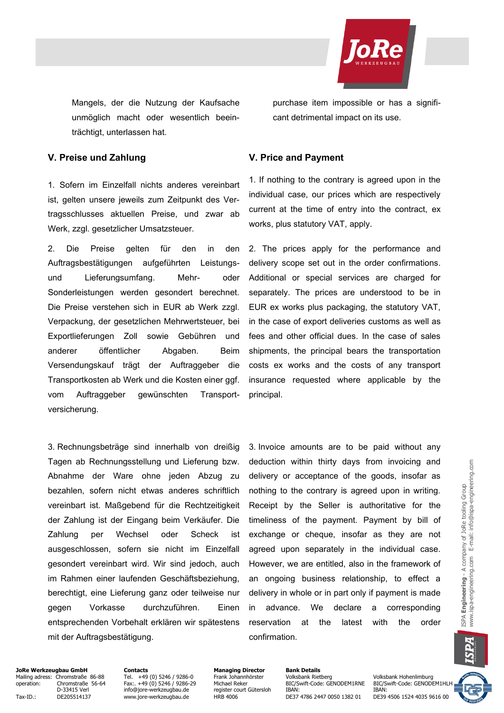

Mangels, der die Nutzung der Kaufsache unmöglich macht oder wesentlich beeinträchtigt, unterlassen hat.

purchase item impossible or has a significant detrimental impact on its use.

### **V. Preise und Zahlung V. Price and Payment**

1. Sofern im Einzelfall nichts anderes vereinbart ist, gelten unsere jeweils zum Zeitpunkt des Vertragsschlusses aktuellen Preise, und zwar ab Werk, zzgl. gesetzlicher Umsatzsteuer.

2. Die Preise gelten für den in den Auftragsbestätigungen aufgeführten Leistungsund Lieferungsumfang. Mehr- oder Sonderleistungen werden gesondert berechnet. Die Preise verstehen sich in EUR ab Werk zzgl. Verpackung, der gesetzlichen Mehrwertsteuer, bei Exportlieferungen Zoll sowie Gebühren und anderer öffentlicher Abgaben. Beim Versendungskauf trägt der Auftraggeber die Transportkosten ab Werk und die Kosten einer ggf. vom Auftraggeber gewünschten Transportversicherung.

3. Rechnungsbeträge sind innerhalb von dreißig Tagen ab Rechnungsstellung und Lieferung bzw. Abnahme der Ware ohne jeden Abzug zu bezahlen, sofern nicht etwas anderes schriftlich vereinbart ist. Maßgebend für die Rechtzeitigkeit der Zahlung ist der Eingang beim Verkäufer. Die Zahlung per Wechsel oder Scheck ist ausgeschlossen, sofern sie nicht im Einzelfall gesondert vereinbart wird. Wir sind jedoch, auch im Rahmen einer laufenden Geschäftsbeziehung, berechtigt, eine Lieferung ganz oder teilweise nur gegen Vorkasse durchzuführen. Einen entsprechenden Vorbehalt erklären wir spätestens mit der Auftragsbestätigung.

1. If nothing to the contrary is agreed upon in the individual case, our prices which are respectively current at the time of entry into the contract, ex works, plus statutory VAT, apply.

2. The prices apply for the performance and delivery scope set out in the order confirmations. Additional or special services are charged for separately. The prices are understood to be in EUR ex works plus packaging, the statutory VAT, in the case of export deliveries customs as well as fees and other official dues. In the case of sales shipments, the principal bears the transportation costs ex works and the costs of any transport insurance requested where applicable by the principal.

3. Invoice amounts are to be paid without any deduction within thirty days from invoicing and delivery or acceptance of the goods, insofar as nothing to the contrary is agreed upon in writing. Receipt by the Seller is authoritative for the timeliness of the payment. Payment by bill of exchange or cheque, insofar as they are not agreed upon separately in the individual case. However, we are entitled, also in the framework of an ongoing business relationship, to effect a delivery in whole or in part only if payment is made in advance. We declare a corresponding reservation at the latest with the order confirmation.

## **JoRe Werkzeugbau GmbH Contacts Contacts Managing Director Bank Details**<br>Mailing adress: Chromstraße 86-88 Tel. +49 (0) 5246 / 9286-0 Frank Johannhörster Volksbank Rietberg Mailing adress: Chromstraße 86-88 Tel. +49 (0) 5246 / 9286-0 Frank Johannhörster Tel. +19 (0) 5246 / 9286-0 Frank Johannhörster Volksbank Rietberg Volksbank Hohenlimburg<br>The Frank Johannhörster Volksbank Rietberg Volksbank

Tax-ID.: DE205514137 www.jore-werkzeugbau.de HRB 4006 DE37 4786 2447 0050 1382 01

Ohromstraße 56-64 Fax:. +49 (0) 5246 / 9286-29 Michael Reker BIC/Swift-Code: GENODEM1RNE BIC/Swift-Code: GENODEM1HL<br>D-33415 Verl Frace info@iore-werkzeugbau.de register court Gütersloh IBAN: IBAN: IBAN: IBAN: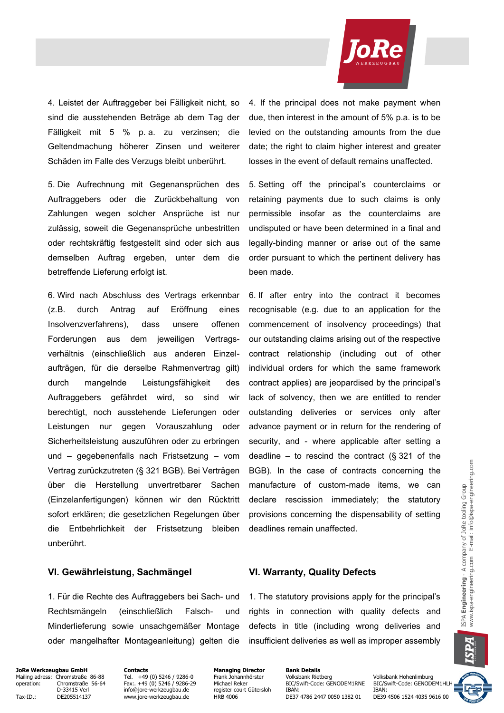

4. Leistet der Auftraggeber bei Fälligkeit nicht, so sind die ausstehenden Beträge ab dem Tag der Fälligkeit mit 5 % p. a. zu verzinsen; die Geltendmachung höherer Zinsen und weiterer Schäden im Falle des Verzugs bleibt unberührt.

5. Die Aufrechnung mit Gegenansprüchen des Auftraggebers oder die Zurückbehaltung von Zahlungen wegen solcher Ansprüche ist nur zulässig, soweit die Gegenansprüche unbestritten oder rechtskräftig festgestellt sind oder sich aus demselben Auftrag ergeben, unter dem die betreffende Lieferung erfolgt ist.

6. Wird nach Abschluss des Vertrags erkennbar (z.B. durch Antrag auf Eröffnung eines Insolvenzverfahrens), dass unsere offenen Forderungen aus dem jeweiligen Vertragsverhältnis (einschließlich aus anderen Einzelaufträgen, für die derselbe Rahmenvertrag gilt) durch mangelnde Leistungsfähigkeit des Auftraggebers gefährdet wird, so sind wir berechtigt, noch ausstehende Lieferungen oder Leistungen nur gegen Vorauszahlung oder Sicherheitsleistung auszuführen oder zu erbringen und – gegebenenfalls nach Fristsetzung – vom Vertrag zurückzutreten (§ 321 BGB). Bei Verträgen über die Herstellung unvertretbarer Sachen (Einzelanfertigungen) können wir den Rücktritt sofort erklären; die gesetzlichen Regelungen über die Entbehrlichkeit der Fristsetzung bleiben unberührt.

### **VI. Gewährleistung, Sachmängel VI. Warranty, Quality Defects**

1. Für die Rechte des Auftraggebers bei Sach- und Rechtsmängeln (einschließlich Falsch- und Minderlieferung sowie unsachgemäßer Montage oder mangelhafter Montageanleitung) gelten die 4. If the principal does not make payment when due, then interest in the amount of 5% p.a. is to be levied on the outstanding amounts from the due date; the right to claim higher interest and greater losses in the event of default remains unaffected.

5. Setting off the principal's counterclaims or retaining payments due to such claims is only permissible insofar as the counterclaims are undisputed or have been determined in a final and legally-binding manner or arise out of the same order pursuant to which the pertinent delivery has been made.

6. If after entry into the contract it becomes recognisable (e.g. due to an application for the commencement of insolvency proceedings) that our outstanding claims arising out of the respective contract relationship (including out of other individual orders for which the same framework contract applies) are jeopardised by the principal's lack of solvency, then we are entitled to render outstanding deliveries or services only after advance payment or in return for the rendering of security, and - where applicable after setting a deadline – to rescind the contract  $(\S$  321 of the BGB). In the case of contracts concerning the manufacture of custom-made items, we can declare rescission immediately; the statutory provisions concerning the dispensability of setting deadlines remain unaffected.

1. The statutory provisions apply for the principal's rights in connection with quality defects and defects in title (including wrong deliveries and insufficient deliveries as well as improper assembly

**JoRe Werkzeugbau GmbH Contacts Contacts Managing Director Bank Details**<br>Mailing adress: Chromstraße 86-88 Tel. +49 (0) 5246 / 9286-0 Frank Johannhörster Volksbank Rietberg Mailing adress: Chromstraße 86-88 Tel. +49 (0) 5246 / 9286-0 Frank Johannhörster Volksbank Rietberg Volksbank Hohenlimburg<br>1997 operation: Chromstraße 56-64 Fax:. +49 (0) 5246 / 9286-29 Michael Reker BIC/Swift-Code: GENODE

Tax-ID.: DE205514137 www.jore-werkzeugbau.de HRB 4006 DE37 4786 2447 0050 1382 01

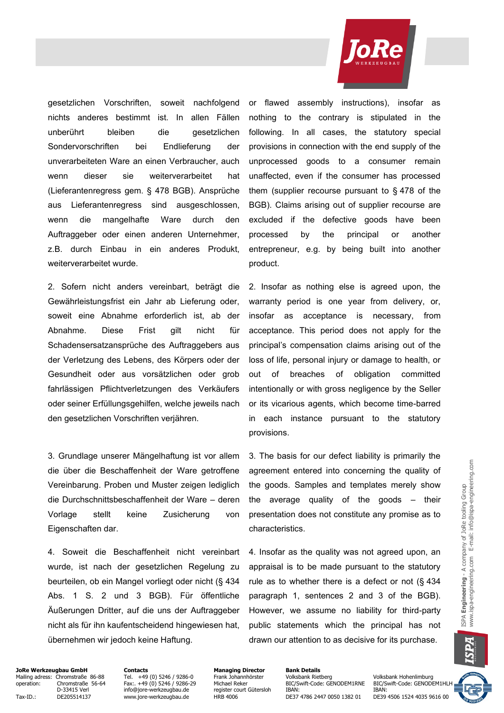

gesetzlichen Vorschriften, soweit nachfolgend nichts anderes bestimmt ist. In allen Fällen unberührt bleiben die gesetzlichen Sondervorschriften bei Endlieferung der unverarbeiteten Ware an einen Verbraucher, auch wenn dieser sie weiterverarbeitet hat (Lieferantenregress gem. § 478 BGB). Ansprüche aus Lieferantenregress sind ausgeschlossen, wenn die mangelhafte Ware durch den Auftraggeber oder einen anderen Unternehmer, z.B. durch Einbau in ein anderes Produkt, weiterverarbeitet wurde.

2. Sofern nicht anders vereinbart, beträgt die Gewährleistungsfrist ein Jahr ab Lieferung oder, soweit eine Abnahme erforderlich ist, ab der Abnahme. Diese Frist gilt nicht für Schadensersatzansprüche des Auftraggebers aus der Verletzung des Lebens, des Körpers oder der Gesundheit oder aus vorsätzlichen oder grob fahrlässigen Pflichtverletzungen des Verkäufers oder seiner Erfüllungsgehilfen, welche jeweils nach den gesetzlichen Vorschriften verjähren.

3. Grundlage unserer Mängelhaftung ist vor allem die über die Beschaffenheit der Ware getroffene Vereinbarung. Proben und Muster zeigen lediglich die Durchschnittsbeschaffenheit der Ware – deren Vorlage stellt keine Zusicherung von Eigenschaften dar.

4. Soweit die Beschaffenheit nicht vereinbart wurde, ist nach der gesetzlichen Regelung zu beurteilen, ob ein Mangel vorliegt oder nicht (§ 434 Abs. 1 S. 2 und 3 BGB). Für öffentliche Äußerungen Dritter, auf die uns der Auftraggeber nicht als für ihn kaufentscheidend hingewiesen hat, übernehmen wir jedoch keine Haftung.

or flawed assembly instructions), insofar as nothing to the contrary is stipulated in the following. In all cases, the statutory special provisions in connection with the end supply of the unprocessed goods to a consumer remain unaffected, even if the consumer has processed them (supplier recourse pursuant to § 478 of the BGB). Claims arising out of supplier recourse are excluded if the defective goods have been processed by the principal or another entrepreneur, e.g. by being built into another product.

2. Insofar as nothing else is agreed upon, the warranty period is one year from delivery, or, insofar as acceptance is necessary, from acceptance. This period does not apply for the principal's compensation claims arising out of the loss of life, personal injury or damage to health, or out of breaches of obligation committed intentionally or with gross negligence by the Seller or its vicarious agents, which become time-barred in each instance pursuant to the statutory provisions.

3. The basis for our defect liability is primarily the agreement entered into concerning the quality of the goods. Samples and templates merely show the average quality of the goods – their presentation does not constitute any promise as to characteristics.

4. Insofar as the quality was not agreed upon, an appraisal is to be made pursuant to the statutory rule as to whether there is a defect or not (§ 434 paragraph 1, sentences 2 and 3 of the BGB). However, we assume no liability for third-party public statements which the principal has not drawn our attention to as decisive for its purchase.

**JoRe Werkzeugbau GmbH Contacts Contacts Managing Director Bank Details**<br>Mailing adress: Chromstraße 86-88 Tel. +49 (0) 5246 / 9286-0 Frank Johannhörster Volksbank Rietberg Mailing adress: Chromstraße 86-88 Tel. +49 (0) 5246 / 9286-0 Frank Johannhörster Volksbank Rietberg Volksbank Hohenlimburg<br>1991 operation: Chromstraße 56-64 Fax:. +49 (0) 5246 / 9286-29 Michael Reker BIC/Swift-Code: GENODE

Tax-ID.: DE205514137 www.jore-werkzeugbau.de HRB 4006 DE37 4786 2447 0050 1382 01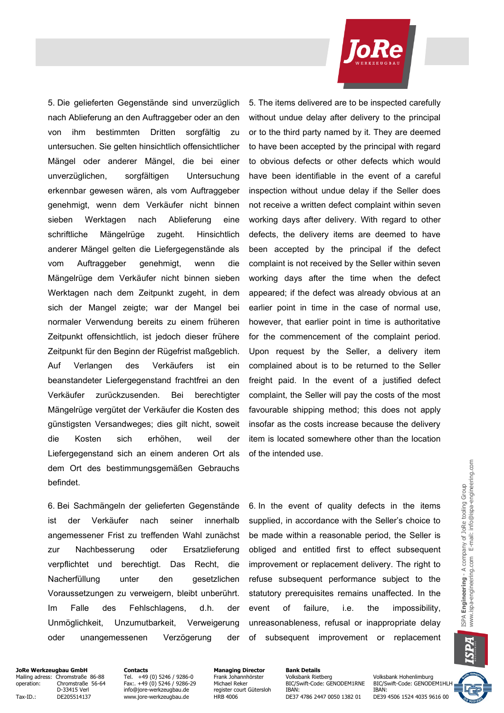5. Die gelieferten Gegenstände sind unverzüglich nach Ablieferung an den Auftraggeber oder an den von ihm bestimmten Dritten sorgfältig zu untersuchen. Sie gelten hinsichtlich offensichtlicher Mängel oder anderer Mängel, die bei einer unverzüglichen, sorgfältigen Untersuchung erkennbar gewesen wären, als vom Auftraggeber genehmigt, wenn dem Verkäufer nicht binnen sieben Werktagen nach Ablieferung eine schriftliche Mängelrüge zugeht. Hinsichtlich anderer Mängel gelten die Liefergegenstände als vom Auftraggeber genehmigt, wenn die Mängelrüge dem Verkäufer nicht binnen sieben Werktagen nach dem Zeitpunkt zugeht, in dem sich der Mangel zeigte; war der Mangel bei normaler Verwendung bereits zu einem früheren Zeitpunkt offensichtlich, ist jedoch dieser frühere Zeitpunkt für den Beginn der Rügefrist maßgeblich. Auf Verlangen des Verkäufers ist ein beanstandeter Liefergegenstand frachtfrei an den Verkäufer zurückzusenden. Bei berechtigter Mängelrüge vergütet der Verkäufer die Kosten des günstigsten Versandweges; dies gilt nicht, soweit die Kosten sich erhöhen, weil der Liefergegenstand sich an einem anderen Ort als dem Ort des bestimmungsgemäßen Gebrauchs befindet.

6. Bei Sachmängeln der gelieferten Gegenstände ist der Verkäufer nach seiner innerhalb angemessener Frist zu treffenden Wahl zunächst zur Nachbesserung oder Ersatzlieferung verpflichtet und berechtigt. Das Recht, die Nacherfüllung unter den gesetzlichen Voraussetzungen zu verweigern, bleibt unberührt. Im Falle des Fehlschlagens, d.h. der Unmöglichkeit, Unzumutbarkeit, Verweigerung oder unangemessenen Verzögerung der

5. The items delivered are to be inspected carefully without undue delay after delivery to the principal or to the third party named by it. They are deemed to have been accepted by the principal with regard to obvious defects or other defects which would have been identifiable in the event of a careful inspection without undue delay if the Seller does not receive a written defect complaint within seven working days after delivery. With regard to other defects, the delivery items are deemed to have been accepted by the principal if the defect complaint is not received by the Seller within seven working days after the time when the defect appeared; if the defect was already obvious at an earlier point in time in the case of normal use, however, that earlier point in time is authoritative for the commencement of the complaint period. Upon request by the Seller, a delivery item complained about is to be returned to the Seller freight paid. In the event of a justified defect complaint, the Seller will pay the costs of the most favourable shipping method; this does not apply insofar as the costs increase because the delivery item is located somewhere other than the location of the intended use.

6. In the event of quality defects in the items supplied, in accordance with the Seller's choice to be made within a reasonable period, the Seller is obliged and entitled first to effect subsequent improvement or replacement delivery. The right to refuse subsequent performance subject to the statutory prerequisites remains unaffected. In the event of failure, i.e. the impossibility, unreasonableness, refusal or inappropriate delay of subsequent improvement or replacement



**JoRe Werkzeugbau GmbH Contacts Contacts Managing Director Bank Details**<br>Mailing adress: Chromstraße 86-88 Tel. +49 (0) 5246 / 9286-0 Frank Johannhörster Volksbank Rietberg Mailing adress: Chromstraße 86-88 Tel. +49 (0) 5246 / 9286-0 Frank Johannhörster Volksbank Rietberg Volksbank Hohenlimburg<br>1991 operation: Chromstraße 56-64 Fax:. +49 (0) 5246 / 9286-29 Michael Reker BIC/Swift-Code: GENODE

Tax-ID.: DE205514137 www.jore-werkzeugbau.de HRB 4006 DE37 4786 2447 0050 1382 01

Operation: Chromstraße 56-64 Fax:. +49 (0) 5246 / 9286-29 Michael Reker BIC/Swift-Code: GENODEM1RNE BIC/Swift-Code: GENODEM1HL<br>D-33415 Verl Frace info@jore-werkzeugbau.de register court Gütersloh IBAN: IBAN: IBAN:

Designed Networkship (1995)<br>The state court Gütersloh IBAN: IBAN: IBAN: IBAN: IBAN: IBAN: IBAN: IBAN: IBAN: IBAN: IBAN: IBAN: IBAN: IBAN: IBAN: IBAN: IBAN: IBAN: IBAN: IBAN: IBAN: IBAN: IBAN: IBAN: IBAN: IBAN: IBAN: IBAN: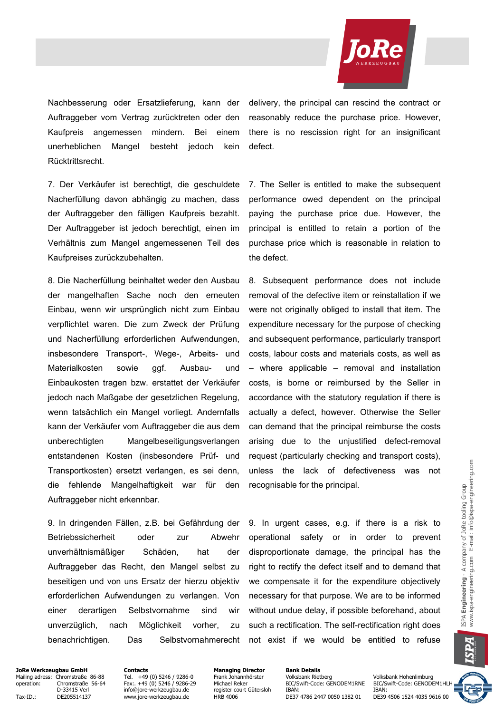

Nachbesserung oder Ersatzlieferung, kann der Auftraggeber vom Vertrag zurücktreten oder den Kaufpreis angemessen mindern. Bei einem unerheblichen Mangel besteht jedoch kein Rücktrittsrecht.

7. Der Verkäufer ist berechtigt, die geschuldete Nacherfüllung davon abhängig zu machen, dass der Auftraggeber den fälligen Kaufpreis bezahlt. Der Auftraggeber ist jedoch berechtigt, einen im Verhältnis zum Mangel angemessenen Teil des Kaufpreises zurückzubehalten.

8. Die Nacherfüllung beinhaltet weder den Ausbau der mangelhaften Sache noch den erneuten Einbau, wenn wir ursprünglich nicht zum Einbau verpflichtet waren. Die zum Zweck der Prüfung und Nacherfüllung erforderlichen Aufwendungen, insbesondere Transport-, Wege-, Arbeits- und Materialkosten sowie ggf. Ausbau- und Einbaukosten tragen bzw. erstattet der Verkäufer jedoch nach Maßgabe der gesetzlichen Regelung, wenn tatsächlich ein Mangel vorliegt. Andernfalls kann der Verkäufer vom Auftraggeber die aus dem unberechtigten Mangelbeseitigungsverlangen entstandenen Kosten (insbesondere Prüf- und Transportkosten) ersetzt verlangen, es sei denn, die fehlende Mangelhaftigkeit war für den Auftraggeber nicht erkennbar.

9. In dringenden Fällen, z.B. bei Gefährdung der Betriebssicherheit oder zur Abwehr unverhältnismäßiger Schäden, hat der Auftraggeber das Recht, den Mangel selbst zu beseitigen und von uns Ersatz der hierzu objektiv erforderlichen Aufwendungen zu verlangen. Von einer derartigen Selbstvornahme sind wir unverzüglich, nach Möglichkeit vorher, zu benachrichtigen. Das Selbstvornahmerecht delivery, the principal can rescind the contract or reasonably reduce the purchase price. However, there is no rescission right for an insignificant defect.

7. The Seller is entitled to make the subsequent performance owed dependent on the principal paying the purchase price due. However, the principal is entitled to retain a portion of the purchase price which is reasonable in relation to the defect.

8. Subsequent performance does not include removal of the defective item or reinstallation if we were not originally obliged to install that item. The expenditure necessary for the purpose of checking and subsequent performance, particularly transport costs, labour costs and materials costs, as well as – where applicable – removal and installation costs, is borne or reimbursed by the Seller in accordance with the statutory regulation if there is actually a defect, however. Otherwise the Seller can demand that the principal reimburse the costs arising due to the unjustified defect-removal request (particularly checking and transport costs), unless the lack of defectiveness was not recognisable for the principal.

9. In urgent cases, e.g. if there is a risk to operational safety or in order to prevent disproportionate damage, the principal has the right to rectify the defect itself and to demand that we compensate it for the expenditure objectively necessary for that purpose. We are to be informed without undue delay, if possible beforehand, about such a rectification. The self-rectification right does not exist if we would be entitled to refuse

A

**JoRe Werkzeugbau GmbH Contacts Contacts Managing Director Bank Details**<br>Mailing adress: Chromstraße 86-88 Tel. +49 (0) 5246 / 9286-0 Frank Johannhörster Volksbank Rietberg Mailing adress: Chromstraße 86-88 Tel. +49 (0) 5246 / 9286-0 Frank Johannhörster Tel. +19 (0) 5246 / 9286-0 Frank Johannhörster Volksbank Rietberg Volksbank Hohenlimburg<br>The Frank Johannhörster Volksbank Rietberg Volksbank

Tax-ID.: DE205514137 www.jore-werkzeugbau.de HRB 4006 DE37 4786 2447 0050 1382 01

Ohromstraße 56-64 Fax:. +49 (0) 5246 / 9286-29 Michael Reker BIC/Swift-Code: GENODEM1RNE BIC/Swift-Code: GENODEM1HL<br>D-33415 Verl Frace info@iore-werkzeugbau.de register court Gütersloh IBAN: IBAN: IBAN: IBAN: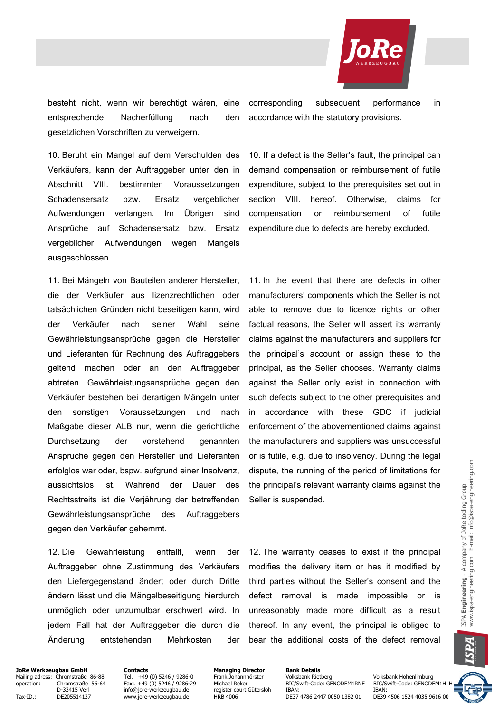

besteht nicht, wenn wir berechtigt wären, eine entsprechende Nacherfüllung nach den gesetzlichen Vorschriften zu verweigern.

10. Beruht ein Mangel auf dem Verschulden des Verkäufers, kann der Auftraggeber unter den in Abschnitt VIII. bestimmten Voraussetzungen Schadensersatz bzw. Ersatz vergeblicher Aufwendungen verlangen. Im Übrigen sind Ansprüche auf Schadensersatz bzw. Ersatz vergeblicher Aufwendungen wegen Mangels ausgeschlossen.

11. Bei Mängeln von Bauteilen anderer Hersteller, die der Verkäufer aus lizenzrechtlichen oder tatsächlichen Gründen nicht beseitigen kann, wird der Verkäufer nach seiner Wahl seine Gewährleistungsansprüche gegen die Hersteller und Lieferanten für Rechnung des Auftraggebers geltend machen oder an den Auftraggeber abtreten. Gewährleistungsansprüche gegen den Verkäufer bestehen bei derartigen Mängeln unter den sonstigen Voraussetzungen und nach Maßgabe dieser ALB nur, wenn die gerichtliche Durchsetzung der vorstehend genannten Ansprüche gegen den Hersteller und Lieferanten erfolglos war oder, bspw. aufgrund einer Insolvenz, aussichtslos ist. Während der Dauer des Rechtsstreits ist die Verjährung der betreffenden Gewährleistungsansprüche des Auftraggebers gegen den Verkäufer gehemmt.

12. Die Gewährleistung entfällt, wenn der Auftraggeber ohne Zustimmung des Verkäufers den Liefergegenstand ändert oder durch Dritte ändern lässt und die Mängelbeseitigung hierdurch unmöglich oder unzumutbar erschwert wird. In jedem Fall hat der Auftraggeber die durch die Änderung entstehenden Mehrkosten der

corresponding subsequent performance in accordance with the statutory provisions.

10. If a defect is the Seller's fault, the principal can demand compensation or reimbursement of futile expenditure, subject to the prerequisites set out in section VIII. hereof. Otherwise, claims for compensation or reimbursement of futile expenditure due to defects are hereby excluded.

11. In the event that there are defects in other manufacturers' components which the Seller is not able to remove due to licence rights or other factual reasons, the Seller will assert its warranty claims against the manufacturers and suppliers for the principal's account or assign these to the principal, as the Seller chooses. Warranty claims against the Seller only exist in connection with such defects subject to the other prerequisites and in accordance with these GDC if judicial enforcement of the abovementioned claims against the manufacturers and suppliers was unsuccessful or is futile, e.g. due to insolvency. During the legal dispute, the running of the period of limitations for the principal's relevant warranty claims against the Seller is suspended.

12. The warranty ceases to exist if the principal modifies the delivery item or has it modified by third parties without the Seller's consent and the defect removal is made impossible or is unreasonably made more difficult as a result thereof. In any event, the principal is obliged to bear the additional costs of the defect removal

**JoRe Werkzeugbau GmbH Contacts Contacts Managing Director Bank Details**<br>Mailing adress: Chromstraße 86-88 Tel. +49 (0) 5246 / 9286-0 Frank Johannhörster Volksbank Rietberg Mailing adress: Chromstraße 86-88 Tel. +49 (0) 5246 / 9286-0 Frank Johannhörster Volksbank Rietberg Volksbank Hohenlimburg<br>1991 operation: Chromstraße 56-64 Fax:. +49 (0) 5246 / 9286-29 Michael Reker BIC/Swift-Code: GENODE

Tax-ID.: DE205514137 www.jore-werkzeugbau.de HRB 4006 DE37 4786 2447 0050 1382 01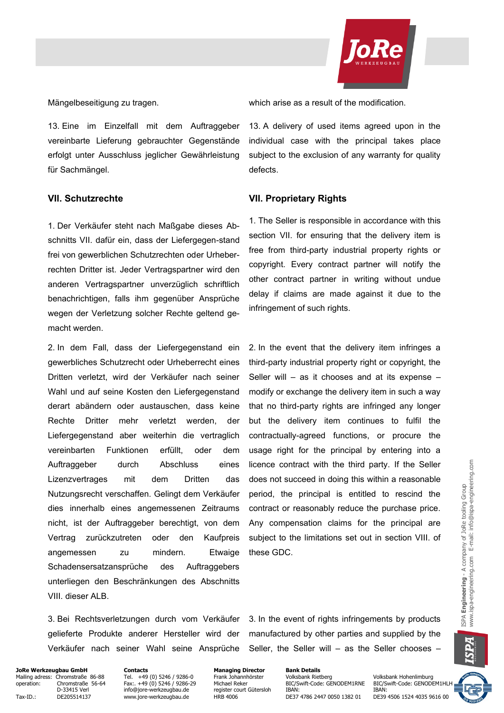

13. Eine im Einzelfall mit dem Auftraggeber vereinbarte Lieferung gebrauchter Gegenstände erfolgt unter Ausschluss jeglicher Gewährleistung für Sachmängel.

1. Der Verkäufer steht nach Maßgabe dieses Abschnitts VII. dafür ein, dass der Liefergegen-stand frei von gewerblichen Schutzrechten oder Urheberrechten Dritter ist. Jeder Vertragspartner wird den anderen Vertragspartner unverzüglich schriftlich benachrichtigen, falls ihm gegenüber Ansprüche wegen der Verletzung solcher Rechte geltend gemacht werden.

2. In dem Fall, dass der Liefergegenstand ein gewerbliches Schutzrecht oder Urheberrecht eines Dritten verletzt, wird der Verkäufer nach seiner Wahl und auf seine Kosten den Liefergegenstand derart abändern oder austauschen, dass keine Rechte Dritter mehr verletzt werden, der Liefergegenstand aber weiterhin die vertraglich vereinbarten Funktionen erfüllt, oder dem Auftraggeber durch Abschluss eines Lizenzvertrages mit dem Dritten das Nutzungsrecht verschaffen. Gelingt dem Verkäufer dies innerhalb eines angemessenen Zeitraums nicht, ist der Auftraggeber berechtigt, von dem Vertrag zurückzutreten oder den Kaufpreis angemessen zu mindern. Etwaige Schadensersatzansprüche des Auftraggebers unterliegen den Beschränkungen des Abschnitts VIII. dieser ALB.

Mängelbeseitigung zu tragen. which arise as a result of the modification.

13. A delivery of used items agreed upon in the individual case with the principal takes place subject to the exclusion of any warranty for quality defects.

#### **VII. Schutzrechte VII. Proprietary Rights**

1. The Seller is responsible in accordance with this section VII. for ensuring that the delivery item is free from third-party industrial property rights or copyright. Every contract partner will notify the other contract partner in writing without undue delay if claims are made against it due to the infringement of such rights.

2. In the event that the delivery item infringes a third-party industrial property right or copyright, the Seller will  $-$  as it chooses and at its expense  $$ modify or exchange the delivery item in such a way that no third-party rights are infringed any longer but the delivery item continues to fulfil the contractually-agreed functions, or procure the usage right for the principal by entering into a licence contract with the third party. If the Seller does not succeed in doing this within a reasonable period, the principal is entitled to rescind the contract or reasonably reduce the purchase price. Any compensation claims for the principal are subject to the limitations set out in section VIII. of these GDC.

3. Bei Rechtsverletzungen durch vom Verkäufer gelieferte Produkte anderer Hersteller wird der Verkäufer nach seiner Wahl seine Ansprüche 3. In the event of rights infringements by products manufactured by other parties and supplied by the Seller, the Seller will – as the Seller chooses –

**JoRe Werkzeugbau GmbH Contacts Contacts Managing Director Bank Details**<br>Mailing adress: Chromstraße 86-88 Tel. +49 (0) 5246 / 9286-0 Frank Johannhörster Volksbank Rietberg Mailing adress: Chromstraße 86-88 Tel. +49 (0) 5246 / 9286-0 Frank Johannhörster Volksbank Rietberg Volksbank Hohenlimburg<br>1997 operation: Chromstraße 56-64 Fax:. +49 (0) 5246 / 9286-29 Michael Reker BIC/Swift-Code: GENODE

Tax-ID.: DE205514137 www.jore-werkzeugbau.de HRB 4006 DE37 4786 2447 0050 1382 01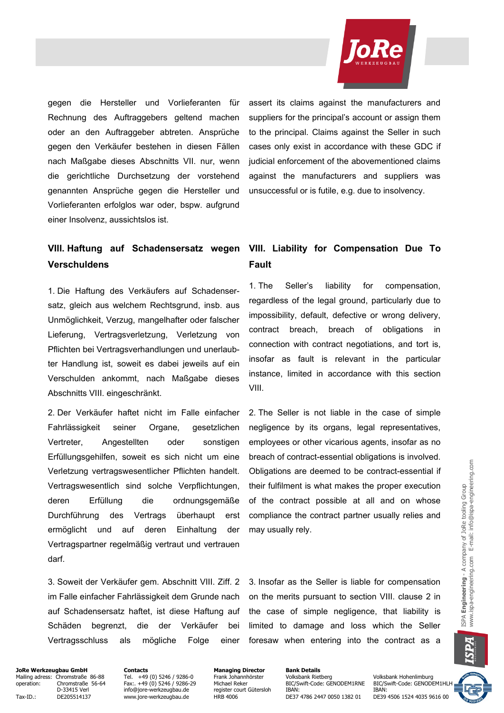

gegen die Hersteller und Vorlieferanten für Rechnung des Auftraggebers geltend machen oder an den Auftraggeber abtreten. Ansprüche gegen den Verkäufer bestehen in diesen Fällen nach Maßgabe dieses Abschnitts VII. nur, wenn die gerichtliche Durchsetzung der vorstehend genannten Ansprüche gegen die Hersteller und Vorlieferanten erfolglos war oder, bspw. aufgrund einer Insolvenz, aussichtslos ist.

assert its claims against the manufacturers and suppliers for the principal's account or assign them to the principal. Claims against the Seller in such cases only exist in accordance with these GDC if judicial enforcement of the abovementioned claims against the manufacturers and suppliers was unsuccessful or is futile, e.g. due to insolvency.

# **VIII. Haftung auf Schadensersatz wegen Verschuldens**

1. Die Haftung des Verkäufers auf Schadensersatz, gleich aus welchem Rechtsgrund, insb. aus Unmöglichkeit, Verzug, mangelhafter oder falscher Lieferung, Vertragsverletzung, Verletzung von Pflichten bei Vertragsverhandlungen und unerlaubter Handlung ist, soweit es dabei jeweils auf ein Verschulden ankommt, nach Maßgabe dieses Abschnitts VIII. eingeschränkt.

2. Der Verkäufer haftet nicht im Falle einfacher Fahrlässigkeit seiner Organe, gesetzlichen Vertreter, Angestellten oder sonstigen Erfüllungsgehilfen, soweit es sich nicht um eine Verletzung vertragswesentlicher Pflichten handelt. Vertragswesentlich sind solche Verpflichtungen, deren Erfüllung die ordnungsgemäße Durchführung des Vertrags überhaupt erst ermöglicht und auf deren Einhaltung der Vertragspartner regelmäßig vertraut und vertrauen darf.

3. Soweit der Verkäufer gem. Abschnitt VIII. Ziff. 2 im Falle einfacher Fahrlässigkeit dem Grunde nach auf Schadensersatz haftet, ist diese Haftung auf Schäden begrenzt, die der Verkäufer bei Vertragsschluss als mögliche Folge einer

# **VIII. Liability for Compensation Due To Fault**

1. The Seller's liability for compensation, regardless of the legal ground, particularly due to impossibility, default, defective or wrong delivery, contract breach, breach of obligations in connection with contract negotiations, and tort is, insofar as fault is relevant in the particular instance, limited in accordance with this section VIII.

2. The Seller is not liable in the case of simple negligence by its organs, legal representatives, employees or other vicarious agents, insofar as no breach of contract-essential obligations is involved. Obligations are deemed to be contract-essential if their fulfilment is what makes the proper execution of the contract possible at all and on whose compliance the contract partner usually relies and may usually rely.

3. Insofar as the Seller is liable for compensation on the merits pursuant to section VIII. clause 2 in the case of simple negligence, that liability is limited to damage and loss which the Seller foresaw when entering into the contract as a



### **JoRe Werkzeugbau GmbH Contacts Contacts Managing Director Bank Details**<br>Mailing adress: Chromstraße 86-88 Tel. +49 (0) 5246 / 9286-0 Frank Johannhörster Volksbank Rietberg Mailing adress: Chromstraße 86-88 Tel. +49 (0) 5246 / 9286-0 Frank Johannhörster Volksbank Rietberg Volksbank Hohenlimburg<br>1991 operation: Chromstraße 56-64 Fax:. +49 (0) 5246 / 9286-29 Michael Reker BIC/Swift-Code: GENODE

Tax-ID.: DE205514137 www.jore-werkzeugbau.de HRB 4006 DE37 4786 2447 0050 1382 01

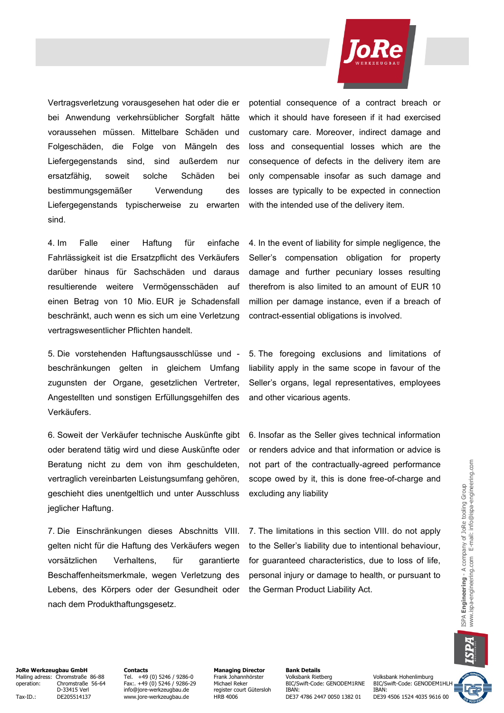

Vertragsverletzung vorausgesehen hat oder die er bei Anwendung verkehrsüblicher Sorgfalt hätte voraussehen müssen. Mittelbare Schäden und Folgeschäden, die Folge von Mängeln des Liefergegenstands sind, sind außerdem nur ersatzfähig, soweit solche Schäden bei bestimmungsgemäßer Verwendung des Liefergegenstands typischerweise zu erwarten sind.

4. Im Falle einer Haftung für einfache Fahrlässigkeit ist die Ersatzpflicht des Verkäufers darüber hinaus für Sachschäden und daraus resultierende weitere Vermögensschäden auf einen Betrag von 10 Mio. EUR je Schadensfall beschränkt, auch wenn es sich um eine Verletzung vertragswesentlicher Pflichten handelt.

5. Die vorstehenden Haftungsausschlüsse und beschränkungen gelten in gleichem Umfang zugunsten der Organe, gesetzlichen Vertreter, Angestellten und sonstigen Erfüllungsgehilfen des Verkäufers.

6. Soweit der Verkäufer technische Auskünfte gibt oder beratend tätig wird und diese Auskünfte oder Beratung nicht zu dem von ihm geschuldeten, vertraglich vereinbarten Leistungsumfang gehören, geschieht dies unentgeltlich und unter Ausschluss jeglicher Haftung.

7. Die Einschränkungen dieses Abschnitts VIII. gelten nicht für die Haftung des Verkäufers wegen vorsätzlichen Verhaltens, für garantierte Beschaffenheitsmerkmale, wegen Verletzung des Lebens, des Körpers oder der Gesundheit oder nach dem Produkthaftungsgesetz.

potential consequence of a contract breach or which it should have foreseen if it had exercised customary care. Moreover, indirect damage and loss and consequential losses which are the consequence of defects in the delivery item are only compensable insofar as such damage and losses are typically to be expected in connection with the intended use of the delivery item.

4. In the event of liability for simple negligence, the Seller's compensation obligation for property damage and further pecuniary losses resulting therefrom is also limited to an amount of EUR 10 million per damage instance, even if a breach of contract-essential obligations is involved.

5. The foregoing exclusions and limitations of liability apply in the same scope in favour of the Seller's organs, legal representatives, employees and other vicarious agents.

6. Insofar as the Seller gives technical information or renders advice and that information or advice is not part of the contractually-agreed performance scope owed by it, this is done free-of-charge and excluding any liability

7. The limitations in this section VIII. do not apply to the Seller's liability due to intentional behaviour, for guaranteed characteristics, due to loss of life, personal injury or damage to health, or pursuant to the German Product Liability Act.

**JoRe Werkzeugbau GmbH Contacts Managing Director Bank Details** Mailing adress: Chromstraße 86-88 Tel. +49 (0) 5246 / 9286-0 Frank Johannhörster Volksbank Rietberg Volksbank Hohenlimburg operation: Chromstraße 56-64 Fax:. +49 (0) 5246 / 9286-29 Michael Reker BIC/Swift-Code: GENODEM1RNE BIC/Swift-Code: GENODEM1HL<br>D-33415 Verl info@jore-werkzeugbau.de register court Gütersloh IBAN: IBAN: IBAN:

Tax-ID.: DE205514137 www.jore-werkzeugbau.de HRB 4006 DE37 4786 2447 0050 1382 01

Designed Networkship (1995)<br>The state court Gütersloh IBAN: IBAN: IBAN: IBAN: IBAN: IBAN: IBAN: IBAN: IBAN: IBAN: IBAN: IBAN: IBAN: IBAN: IBAN: IBAN: IBAN: IBAN: IBAN: IBAN: IBAN: IBAN: IBAN: IBAN: IBAN: IBAN: IBAN: IBAN: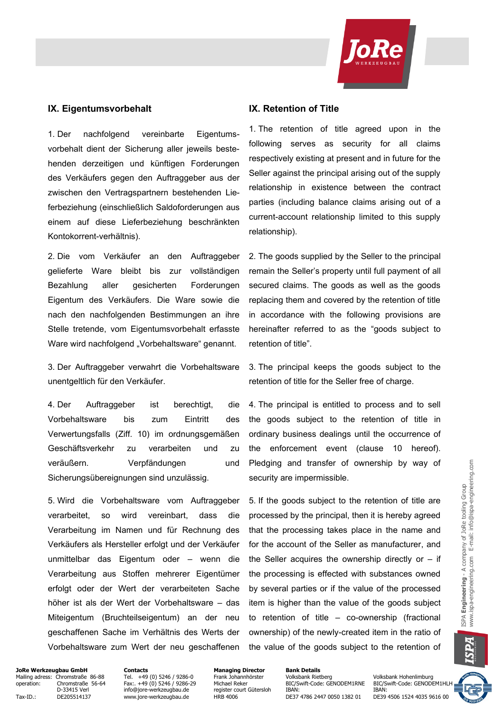

#### **IX. Eigentumsvorbehalt IX. Retention of Title**

1. Der nachfolgend vereinbarte Eigentumsvorbehalt dient der Sicherung aller jeweils bestehenden derzeitigen und künftigen Forderungen des Verkäufers gegen den Auftraggeber aus der zwischen den Vertragspartnern bestehenden Lieferbeziehung (einschließlich Saldoforderungen aus einem auf diese Lieferbeziehung beschränkten Kontokorrent-verhältnis).

2. Die vom Verkäufer an den Auftraggeber gelieferte Ware bleibt bis zur vollständigen Bezahlung aller gesicherten Forderungen Eigentum des Verkäufers. Die Ware sowie die nach den nachfolgenden Bestimmungen an ihre Stelle tretende, vom Eigentumsvorbehalt erfasste Ware wird nachfolgend "Vorbehaltsware" genannt.

3. Der Auftraggeber verwahrt die Vorbehaltsware unentgeltlich für den Verkäufer.

4. Der Auftraggeber ist berechtigt, die Vorbehaltsware bis zum Eintritt des Verwertungsfalls (Ziff. 10) im ordnungsgemäßen Geschäftsverkehr zu verarbeiten und zu veräußern. Verpfändungen und Sicherungsübereignungen sind unzulässig.

5. Wird die Vorbehaltsware vom Auftraggeber verarbeitet, so wird vereinbart, dass die Verarbeitung im Namen und für Rechnung des Verkäufers als Hersteller erfolgt und der Verkäufer unmittelbar das Eigentum oder – wenn die Verarbeitung aus Stoffen mehrerer Eigentümer erfolgt oder der Wert der verarbeiteten Sache höher ist als der Wert der Vorbehaltsware – das Miteigentum (Bruchteilseigentum) an der neu geschaffenen Sache im Verhältnis des Werts der Vorbehaltsware zum Wert der neu geschaffenen

1. The retention of title agreed upon in the following serves as security for all claims respectively existing at present and in future for the Seller against the principal arising out of the supply relationship in existence between the contract parties (including balance claims arising out of a current-account relationship limited to this supply relationship).

2. The goods supplied by the Seller to the principal remain the Seller's property until full payment of all secured claims. The goods as well as the goods replacing them and covered by the retention of title in accordance with the following provisions are hereinafter referred to as the "goods subject to retention of title".

3. The principal keeps the goods subject to the retention of title for the Seller free of charge.

4. The principal is entitled to process and to sell the goods subject to the retention of title in ordinary business dealings until the occurrence of the enforcement event (clause 10 hereof). Pledging and transfer of ownership by way of security are impermissible.

5. If the goods subject to the retention of title are processed by the principal, then it is hereby agreed that the processing takes place in the name and for the account of the Seller as manufacturer, and the Seller acquires the ownership directly or  $-$  if the processing is effected with substances owned by several parties or if the value of the processed item is higher than the value of the goods subject to retention of title – co-ownership (fractional ownership) of the newly-created item in the ratio of the value of the goods subject to the retention of

**JoRe Werkzeugbau GmbH Contacts Contacts Managing Director Bank Details**<br>Mailing adress: Chromstraße 86-88 Tel. +49 (0) 5246 / 9286-0 Frank Johannhörster Volksbank Rietberg Mailing adress: Chromstraße 86-88 Tel. +49 (0) 5246 / 9286-0 Frank Johannhörster Volksbank Rietberg Volksbank Hohenlimburg<br>1997 operation: Chromstraße 56-64 Fax:. +49 (0) 5246 / 9286-29 Michael Reker BIC/Swift-Code: GENODE

Tax-ID.: DE205514137 www.jore-werkzeugbau.de HRB 4006 DE37 4786 2447 0050 1382 01

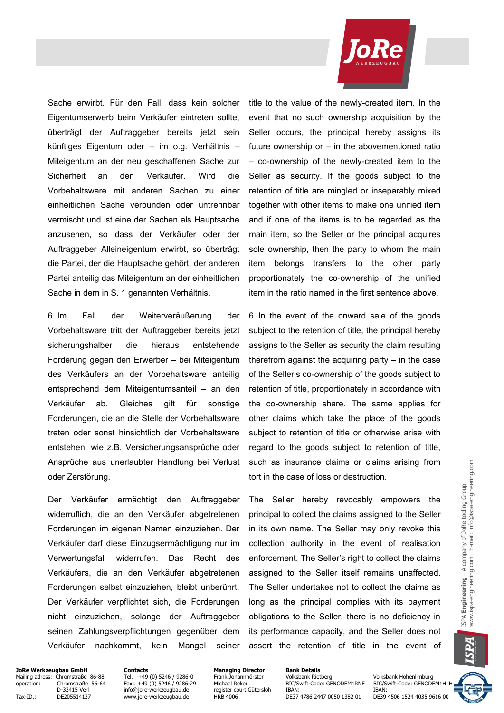

Sache erwirbt. Für den Fall, dass kein solcher Eigentumserwerb beim Verkäufer eintreten sollte, überträgt der Auftraggeber bereits jetzt sein künftiges Eigentum oder – im o.g. Verhältnis – Miteigentum an der neu geschaffenen Sache zur Sicherheit an den Verkäufer. Wird die Vorbehaltsware mit anderen Sachen zu einer einheitlichen Sache verbunden oder untrennbar vermischt und ist eine der Sachen als Hauptsache anzusehen, so dass der Verkäufer oder der Auftraggeber Alleineigentum erwirbt, so überträgt die Partei, der die Hauptsache gehört, der anderen Partei anteilig das Miteigentum an der einheitlichen Sache in dem in S. 1 genannten Verhältnis.

6. Im Fall der Weiterveräußerung der Vorbehaltsware tritt der Auftraggeber bereits jetzt sicherungshalber die hieraus entstehende Forderung gegen den Erwerber – bei Miteigentum des Verkäufers an der Vorbehaltsware anteilig entsprechend dem Miteigentumsanteil – an den Verkäufer ab. Gleiches gilt für sonstige Forderungen, die an die Stelle der Vorbehaltsware treten oder sonst hinsichtlich der Vorbehaltsware entstehen, wie z.B. Versicherungsansprüche oder Ansprüche aus unerlaubter Handlung bei Verlust oder Zerstörung.

Der Verkäufer ermächtigt den Auftraggeber widerruflich, die an den Verkäufer abgetretenen Forderungen im eigenen Namen einzuziehen. Der Verkäufer darf diese Einzugsermächtigung nur im Verwertungsfall widerrufen. Das Recht des Verkäufers, die an den Verkäufer abgetretenen Forderungen selbst einzuziehen, bleibt unberührt. Der Verkäufer verpflichtet sich, die Forderungen nicht einzuziehen, solange der Auftraggeber seinen Zahlungsverpflichtungen gegenüber dem Verkäufer nachkommt, kein Mangel seiner title to the value of the newly-created item. In the event that no such ownership acquisition by the Seller occurs, the principal hereby assigns its future ownership or – in the abovementioned ratio – co-ownership of the newly-created item to the Seller as security. If the goods subject to the retention of title are mingled or inseparably mixed together with other items to make one unified item and if one of the items is to be regarded as the main item, so the Seller or the principal acquires sole ownership, then the party to whom the main item belongs transfers to the other party proportionately the co-ownership of the unified item in the ratio named in the first sentence above.

6. In the event of the onward sale of the goods subject to the retention of title, the principal hereby assigns to the Seller as security the claim resulting therefrom against the acquiring party – in the case of the Seller's co-ownership of the goods subject to retention of title, proportionately in accordance with the co-ownership share. The same applies for other claims which take the place of the goods subject to retention of title or otherwise arise with regard to the goods subject to retention of title, such as insurance claims or claims arising from tort in the case of loss or destruction.

The Seller hereby revocably empowers the principal to collect the claims assigned to the Seller in its own name. The Seller may only revoke this collection authority in the event of realisation enforcement. The Seller's right to collect the claims assigned to the Seller itself remains unaffected. The Seller undertakes not to collect the claims as long as the principal complies with its payment obligations to the Seller, there is no deficiency in its performance capacity, and the Seller does not assert the retention of title in the event of

**JoRe Werkzeugbau GmbH Contacts Contacts Managing Director Bank Details**<br>Mailing adress: Chromstraße 86-88 Tel. +49 (0) 5246 / 9286-0 Frank Johannhörster Volksbank Rietberg Mailing adress: Chromstraße 86-88 Tel. +49 (0) 5246 / 9286-0 Frank Johannhörster Volksbank Rietberg Volksbank Hohenlimburg<br>1991 operation: Chromstraße 56-64 Fax:. +49 (0) 5246 / 9286-29 Michael Reker BIC/Swift-Code: GENODE

Tax-ID.: DE205514137 www.jore-werkzeugbau.de HRB 4006 DE37 4786 2447 0050 1382 01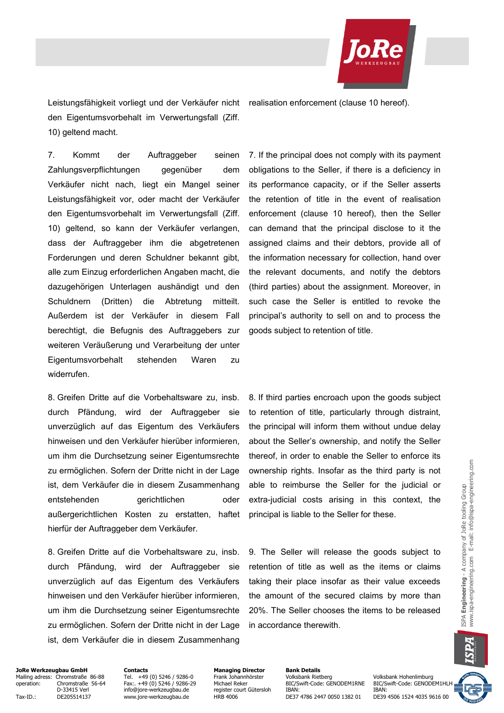

Leistungsfähigkeit vorliegt und der Verkäufer nicht realisation enforcement (clause 10 hereof). den Eigentumsvorbehalt im Verwertungsfall (Ziff. 10) geltend macht.

7. Kommt der Auftraggeber seinen Zahlungsverpflichtungen gegenüber dem Verkäufer nicht nach, liegt ein Mangel seiner Leistungsfähigkeit vor, oder macht der Verkäufer den Eigentumsvorbehalt im Verwertungsfall (Ziff. 10) geltend, so kann der Verkäufer verlangen, dass der Auftraggeber ihm die abgetretenen Forderungen und deren Schuldner bekannt gibt, alle zum Einzug erforderlichen Angaben macht, die dazugehörigen Unterlagen aushändigt und den Schuldnern (Dritten) die Abtretung mitteilt. Außerdem ist der Verkäufer in diesem Fall berechtigt, die Befugnis des Auftraggebers zur weiteren Veräußerung und Verarbeitung der unter Eigentumsvorbehalt stehenden Waren zu widerrufen.

8. Greifen Dritte auf die Vorbehaltsware zu, insb. durch Pfändung, wird der Auftraggeber sie unverzüglich auf das Eigentum des Verkäufers hinweisen und den Verkäufer hierüber informieren, um ihm die Durchsetzung seiner Eigentumsrechte zu ermöglichen. Sofern der Dritte nicht in der Lage ist, dem Verkäufer die in diesem Zusammenhang entstehenden gerichtlichen oder außergerichtlichen Kosten zu erstatten, haftet hierfür der Auftraggeber dem Verkäufer.

8. Greifen Dritte auf die Vorbehaltsware zu, insb. durch Pfändung, wird der Auftraggeber sie unverzüglich auf das Eigentum des Verkäufers hinweisen und den Verkäufer hierüber informieren, um ihm die Durchsetzung seiner Eigentumsrechte zu ermöglichen. Sofern der Dritte nicht in der Lage ist, dem Verkäufer die in diesem Zusammenhang 7. If the principal does not comply with its payment obligations to the Seller, if there is a deficiency in its performance capacity, or if the Seller asserts the retention of title in the event of realisation enforcement (clause 10 hereof), then the Seller can demand that the principal disclose to it the assigned claims and their debtors, provide all of the information necessary for collection, hand over the relevant documents, and notify the debtors (third parties) about the assignment. Moreover, in such case the Seller is entitled to revoke the principal's authority to sell on and to process the goods subject to retention of title.

8. If third parties encroach upon the goods subject to retention of title, particularly through distraint, the principal will inform them without undue delay about the Seller's ownership, and notify the Seller thereof, in order to enable the Seller to enforce its ownership rights. Insofar as the third party is not able to reimburse the Seller for the judicial or extra-judicial costs arising in this context, the principal is liable to the Seller for these.

9. The Seller will release the goods subject to retention of title as well as the items or claims taking their place insofar as their value exceeds the amount of the secured claims by more than 20%. The Seller chooses the items to be released in accordance therewith.



# **JoRe Werkzeugbau GmbH Contacts Contacts Managing Director Bank Details**<br>Mailing adress: Chromstraße 86-88 Tel. +49 (0) 5246 / 9286-0 Frank Johannhörster Volksbank Rietberg

Tax-ID.: DE205514137 www.jore-werkzeugbau.de HRB 4006 DE37 4786 2447 0050 1382 01

Mailing adress: Chromstraße 86-88 Tel. +49 (0) 5246 / 9286-0 Frank Johannhörster – The Tel. +19 (0) 5246 / 9286-0<br>Operation: Chromstraße 56-64 Fax: +49 (0) 5246 / 9286-29 Michael Reker BIC/Swift-Code: GENODEM1RNE BIC/Swift Ohromstraße 56-64 Fax:. +49 (0) 5246 / 9286-29 Michael Reker BIC/Swift-Code: GENODEM1RNE BIC/Swift-Code: GENODEM1HL<br>D-33415 Verl Frace info@iore-werkzeugbau.de register court Gütersloh IBAN: IBAN: IBAN: IBAN: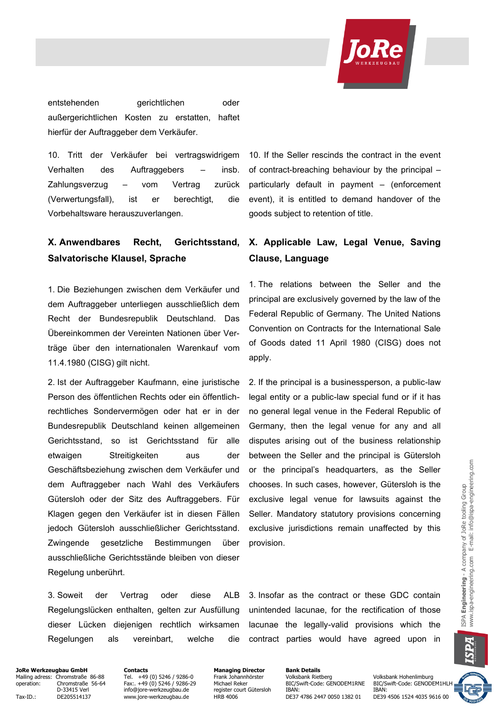

entstehenden gerichtlichen oder außergerichtlichen Kosten zu erstatten, haftet hierfür der Auftraggeber dem Verkäufer.

10. Tritt der Verkäufer bei vertragswidrigem Verhalten des Auftraggebers – insb. Zahlungsverzug – vom Vertrag zurück (Verwertungsfall), ist er berechtigt, die Vorbehaltsware herauszuverlangen.

# **X. Anwendbares Recht, Gerichtsstand, Salvatorische Klausel, Sprache**

1. Die Beziehungen zwischen dem Verkäufer und dem Auftraggeber unterliegen ausschließlich dem Recht der Bundesrepublik Deutschland. Das Übereinkommen der Vereinten Nationen über Verträge über den internationalen Warenkauf vom 11.4.1980 (CISG) gilt nicht.

2. Ist der Auftraggeber Kaufmann, eine juristische Person des öffentlichen Rechts oder ein öffentlichrechtliches Sondervermögen oder hat er in der Bundesrepublik Deutschland keinen allgemeinen Gerichtsstand, so ist Gerichtsstand für alle etwaigen Streitigkeiten aus der Geschäftsbeziehung zwischen dem Verkäufer und dem Auftraggeber nach Wahl des Verkäufers Gütersloh oder der Sitz des Auftraggebers. Für Klagen gegen den Verkäufer ist in diesen Fällen jedoch Gütersloh ausschließlicher Gerichtsstand. Zwingende gesetzliche Bestimmungen über ausschließliche Gerichtsstände bleiben von dieser Regelung unberührt.

10. If the Seller rescinds the contract in the event of contract-breaching behaviour by the principal – particularly default in payment – (enforcement event), it is entitled to demand handover of the goods subject to retention of title.

# **X. Applicable Law, Legal Venue, Saving Clause, Language**

1. The relations between the Seller and the principal are exclusively governed by the law of the Federal Republic of Germany. The United Nations Convention on Contracts for the International Sale of Goods dated 11 April 1980 (CISG) does not apply.

2. If the principal is a businessperson, a public-law legal entity or a public-law special fund or if it has no general legal venue in the Federal Republic of Germany, then the legal venue for any and all disputes arising out of the business relationship between the Seller and the principal is Gütersloh or the principal's headquarters, as the Seller chooses. In such cases, however, Gütersloh is the exclusive legal venue for lawsuits against the Seller. Mandatory statutory provisions concerning exclusive jurisdictions remain unaffected by this provision.

3. Soweit der Vertrag oder diese ALB Regelungslücken enthalten, gelten zur Ausfüllung dieser Lücken diejenigen rechtlich wirksamen Regelungen als vereinbart, welche die

3. Insofar as the contract or these GDC contain unintended lacunae, for the rectification of those lacunae the legally-valid provisions which the contract parties would have agreed upon in

### **JoRe Werkzeugbau GmbH Contacts Contacts Managing Director Bank Details**<br>Mailing adress: Chromstraße 86-88 Tel. +49 (0) 5246 / 9286-0 Frank Johannhörster Volksbank Rietberg Mailing adress: Chromstraße 86-88 Tel. +49 (0) 5246 / 9286-0 Frank Johannhörster Tel. +19 (0) 5246 / 9286-0 Frank Johannhörster Volksbank Rietberg Volksbank Hohenlimburg<br>The Frank Johannhörster Volksbank Rietberg Volksbank

Tax-ID.: DE205514137 www.jore-werkzeugbau.de HRB 4006 DE37 4786 2447 0050 1382 01

Ohromstraße 56-64 Fax:. +49 (0) 5246 / 9286-29 Michael Reker BIC/Swift-Code: GENODEM1RNE BIC/Swift-Code: GENODEM1HL<br>D-33415 Verl Frace info@iore-werkzeugbau.de register court Gütersloh IBAN: IBAN: IBAN: IBAN: D-33415 Verl info@jore-werkzeugbau.de register court Gütersloh IBAN:<br>DE205514137 www.jore-werkzeugbau.de HRB 4006 DE37 4786 2447 0050 1382 01 DE39 4506 1524 4035 9616 00